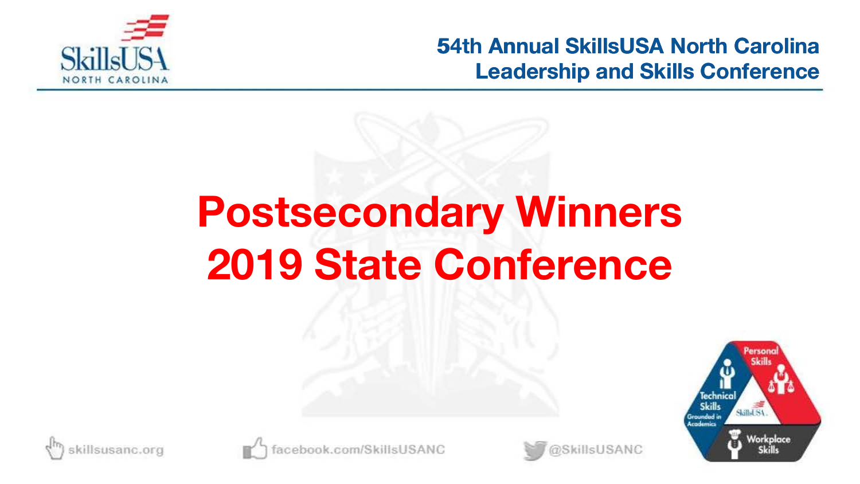

# **54th Postsecondary Winners 2019 State Conference**







ook.com/SkillsUSANC

@SkillsUSANC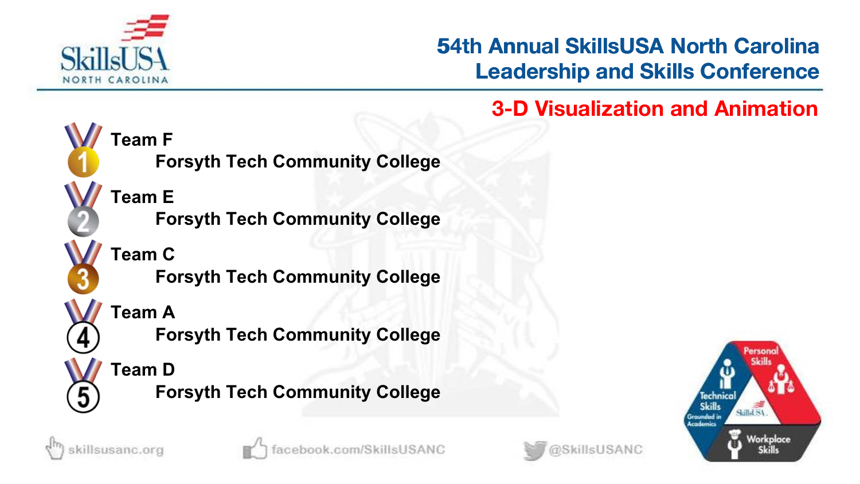

# **53rd Annual SkillsUSA North Carolina Leadership and Skills Conference 54th Annual SkillsUSA North Carolina<br>
Leadership and Skills Conference<br>
3-D Visualization and Animation**



**Forsyth Tech Community College**

**Forsyth Tech Community College**

**Forsyth Tech Community College**

**Forsyth Tech Community College**





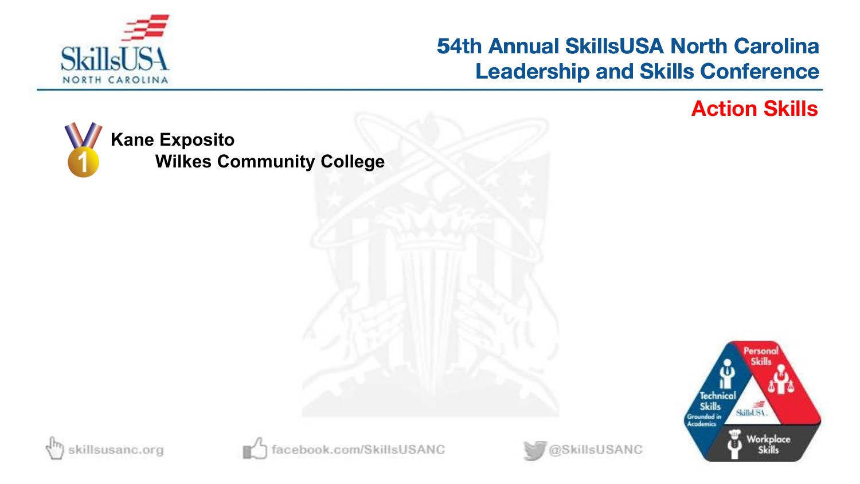

# **54th Annual SkillsUSA North Carolina Leadership and Skills Conference 54th Annual SkillsUSA North Carolina<br>Leadership and Skills Conference<br>Action Skills**

rson

Skilled SA

Workplace

**Skills** 

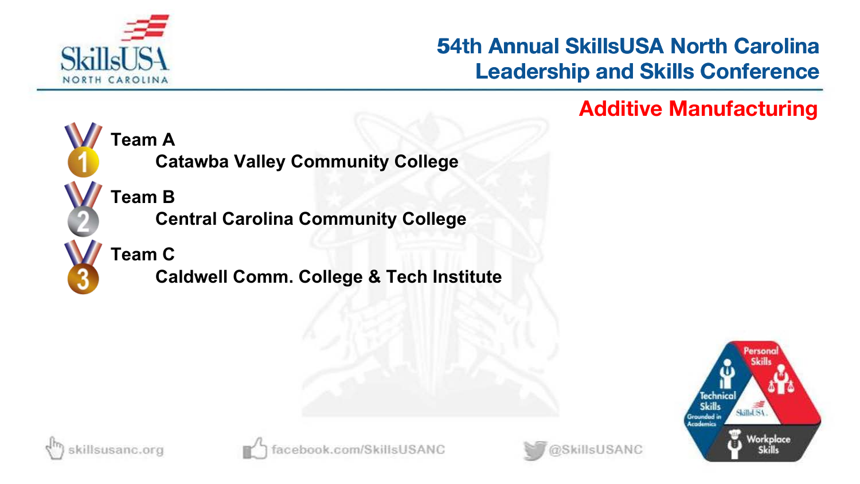

# **53rd Annual SkillsUSA North Carolina Leadership and Skills Conference 54th Annual SkillsUSA North Carolina<br>Leadership and Skills Conference<br>Additive Manufacturing**



**Team A**

**Catawba Valley Community College**

**Team B**

**Central Carolina Community College**

**Team C**

**Caldwell Comm. College & Tech Institute**





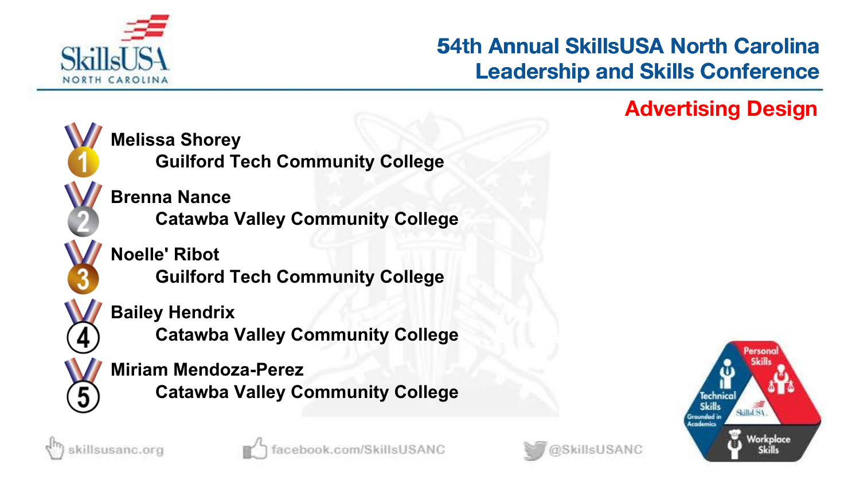

# **53rd Annual SkillsUSA North Carolina Leadership and Skills Conference 54th Annual SkillsUSA North Carolina<br>Leadership and Skills Conference<br>Advertising Design**



**Melissa Shorey**

**Guilford Tech Community College**

**Brenna Nance Catawba Valley Community College**

**Noelle' Ribot Guilford Tech Community College**

### **Bailey Hendrix**

**Catawba Valley Community College**

### **Miriam Mendoza-Perez**

**Catawba Valley Community College**





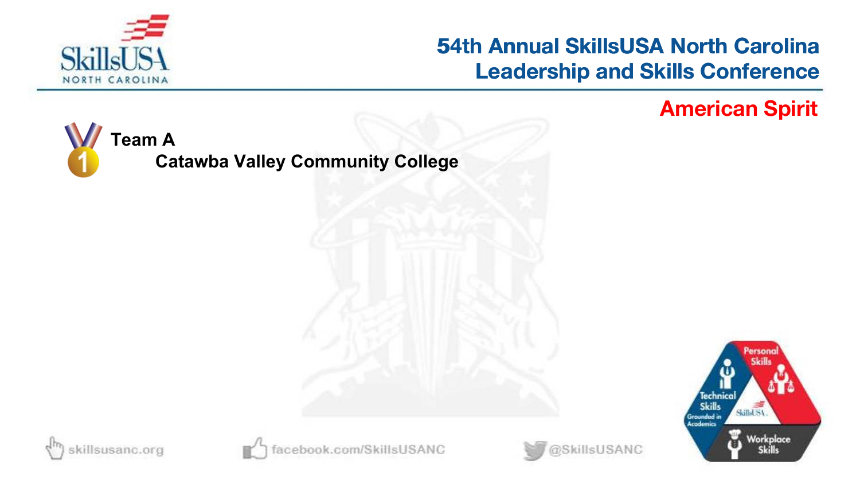

# **54th Annual SkillsUSA North Carolina Leadership and Skills Conference 54th Annual SkillsUSA North Carolina<br>Leadership and Skills Conference<br>American Spirit**

**PS OF** 

Skilled SA

Workplace

**Skills** 







ebook.com/SkillsUSANC

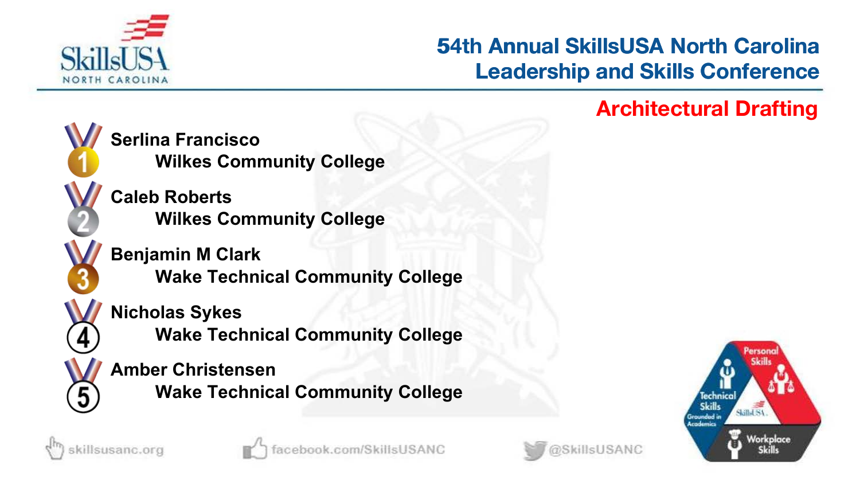

# **53rd Annual SkillsUSA North Carolina Leadership and Skills Conference 54th Annual SkillsUSA North Carolina<br>Leadership and Skills Conference<br>Architectural Drafting**



**Serlina Francisco Wilkes Community College**

**Caleb Roberts Wilkes Community College**

**Benjamin M Clark Wake Technical Community College**

**Nicholas Sykes**

**Wake Technical Community College**

**Amber Christensen Wake Technical Community College**







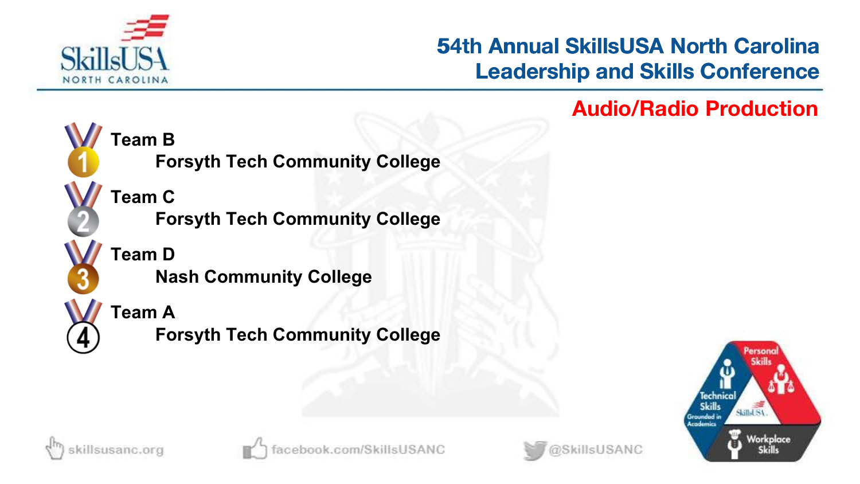

# **53rd Annual SkillsUSA North Carolina Leadership and Skills Conference 54th Annual SkillsUSA North Carolina<br>Leadership and Skills Conference<br>Audio/Radio Production**



**Team C Forsyth Tech Community College**

**Forsyth Tech Community College**

**Team D Nash Community College**



**Forsyth Tech Community College**







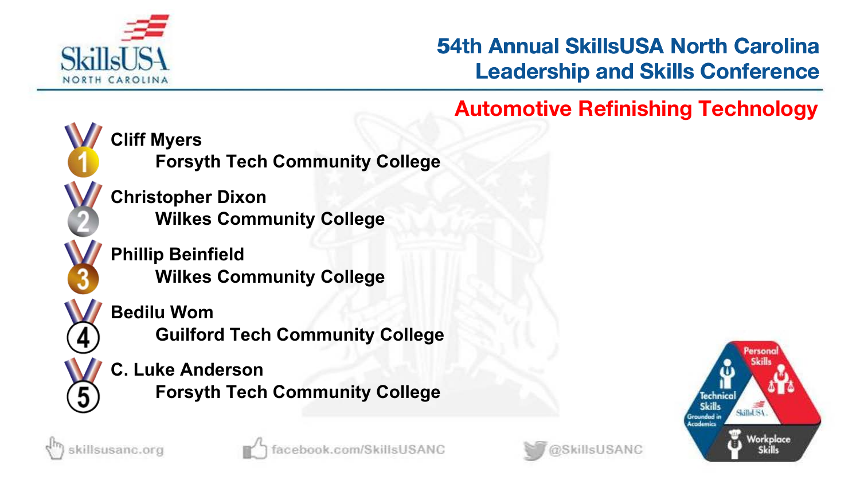

# **53rd Annual SkillsUSA North Carolina Leadership and Skills Conference 54th Annual SkillsUSA North Carolina<br>
Leadership and Skills Conference<br>
Automotive Refinishing Technology**



**Cliff Myers**

**Forsyth Tech Community College**

**Christopher Dixon Wilkes Community College**

**Phillip Beinfield Wilkes Community College**



**Guilford Tech Community College**

**C. Luke Anderson Forsyth Tech Community College**







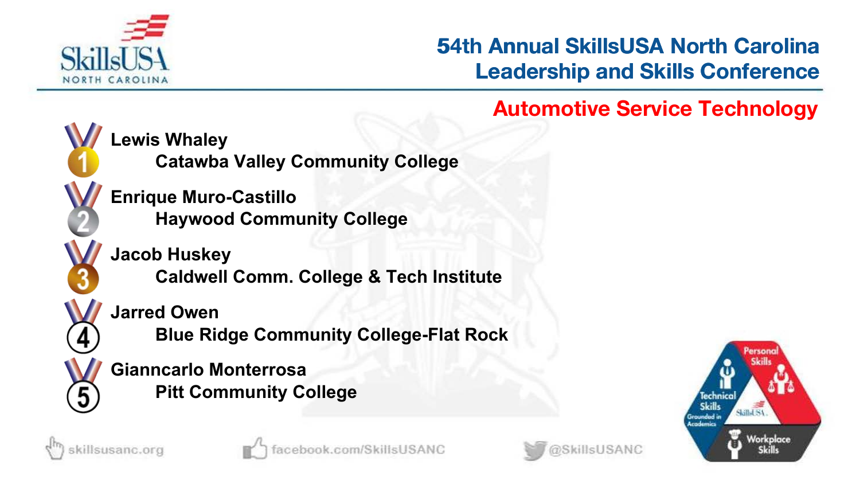

# **53rd Annual SkillsUSA North Carolina Leadership and Skills Conference 54th Annual SkillsUSA North Carolina<br>
Leadership and Skills Conference<br>
Automotive Service Technology**



**Lewis Whaley**

**Catawba Valley Community College**

**Enrique Muro-Castillo Haywood Community College**

**Jacob Huskey Caldwell Comm. College & Tech Institute**

**Jarred Owen**

**Blue Ridge Community College-Flat Rock**

**Gianncarlo Monterrosa Pitt Community College**







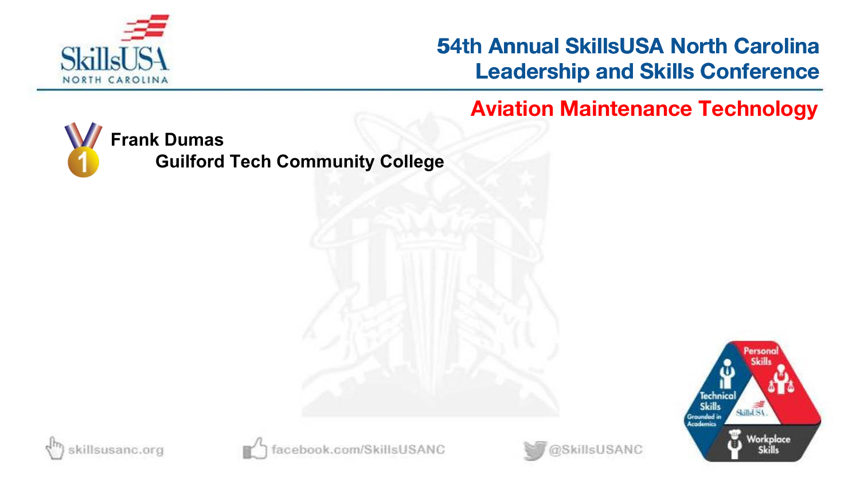

**54th Annual SkillsUSA North Carolina Leadership and Skills Conference 54th Annual SkillsUSA North Carolina<br>
Leadership and Skills Conference<br>
Aviation Maintenance Technology** 



**Guilford Tech Community College**







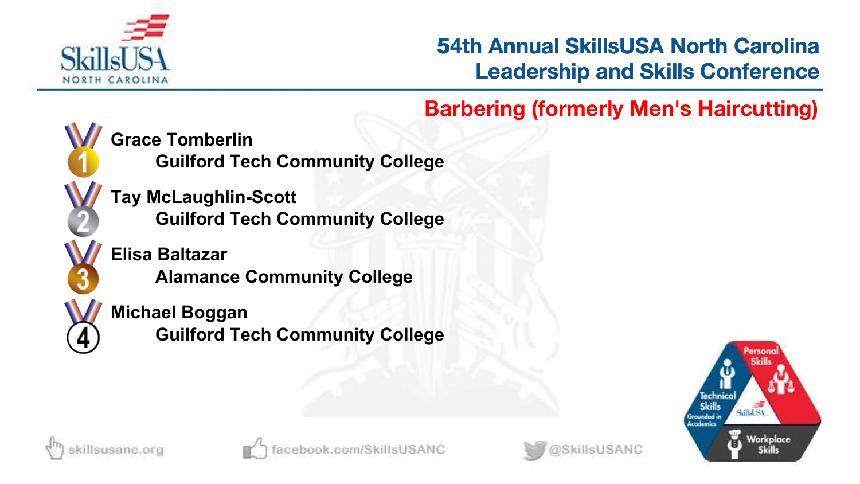

**54th Barbering (formerly Men's Haircutting)**



**Grace Tomberlin**

**Guilford Tech Community College**

**Tay McLaughlin-Scott Guilford Tech Community College**

**Elisa Baltazar Alamance Community College**

### **Michael Boggan**

**Guilford Tech Community College**







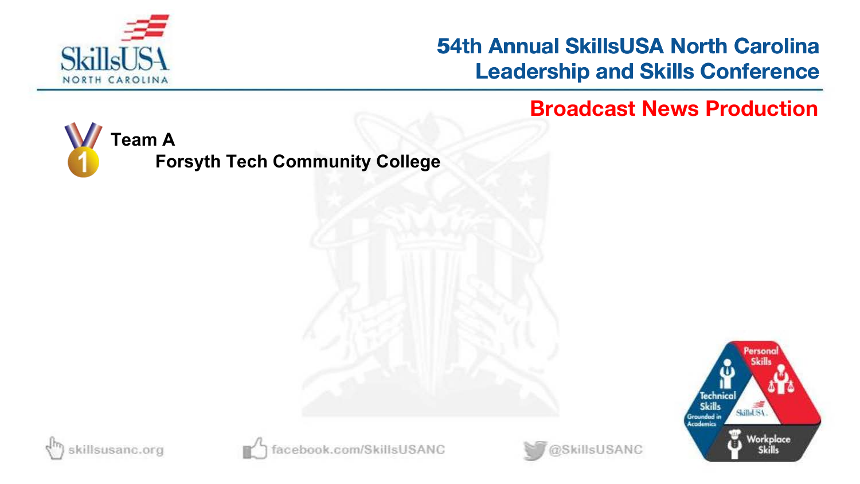

**54th Annual SkillsUSA North Carolina Leadership and Skills Conference 54th Annual SkillsUSA North Carolina<br>Leadership and Skills Conference<br>Broadcast News Production** 



**Forsyth Tech Community College**







book.com/SkillsUSANC

@SkillsUSANC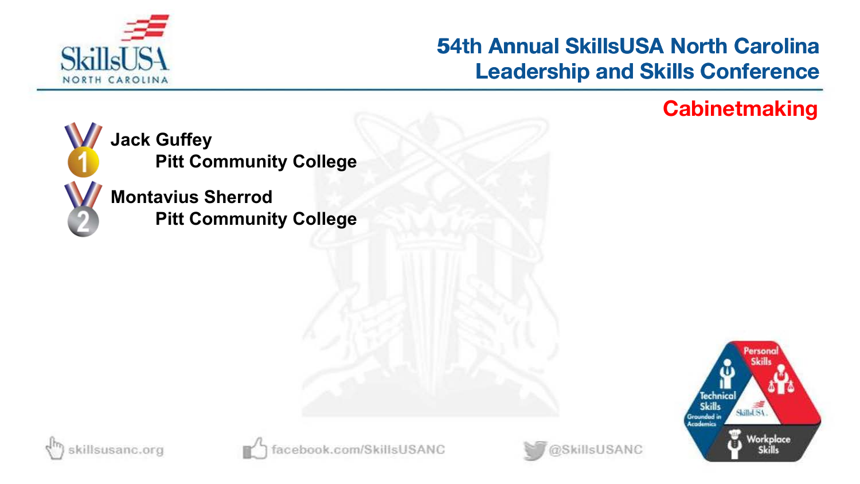

# **54th Annual SkillsUSA North Carolina Leadership and Skills Conference 54th Annual SkillsUSA North Carolina<br>Leadership and Skills Conference<br>Cabinetmaking**



**Jack Guffey Pitt Community College**

**Montavius Sherrod Pitt Community College**







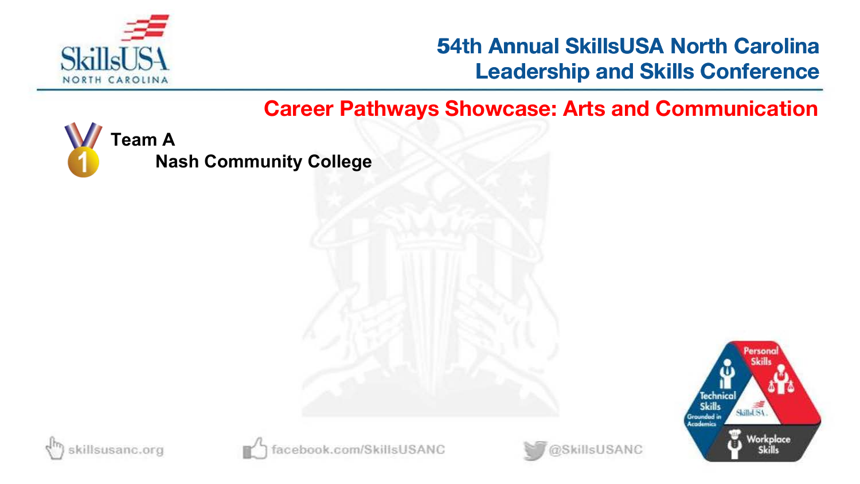

**Career Pathways Showcase: Arts and Communication** 



**Nash Community College**







book.com/SkillsUSANC

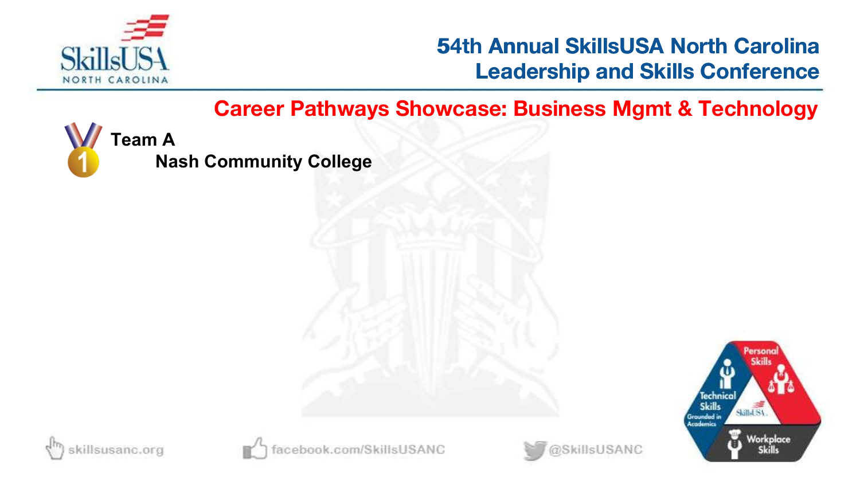

**54th Career Pathways Showcase: Business Mgmt & Technology**



**Nash Community College**







book.com/SkillsUSANC

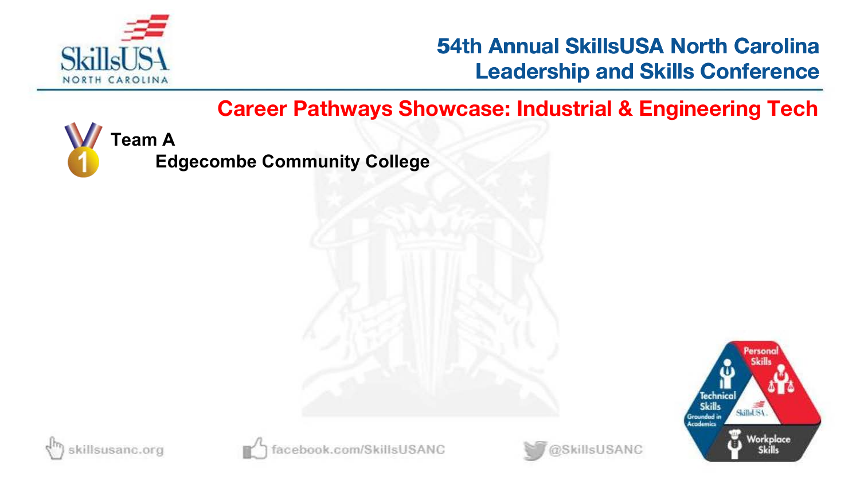

**54th Career Pathways Showcase: Industrial & Engineering Tech**



**Edgecombe Community College**







oook.com/SkillsUSANC

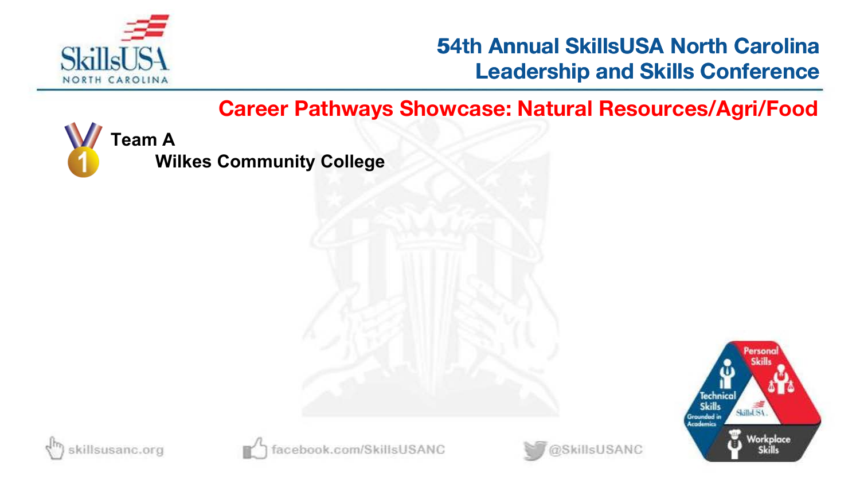

**54th Career Pathways Showcase: Natural Resources/Agri/Food**



**Wilkes Community College**







book.com/SkillsUSANC

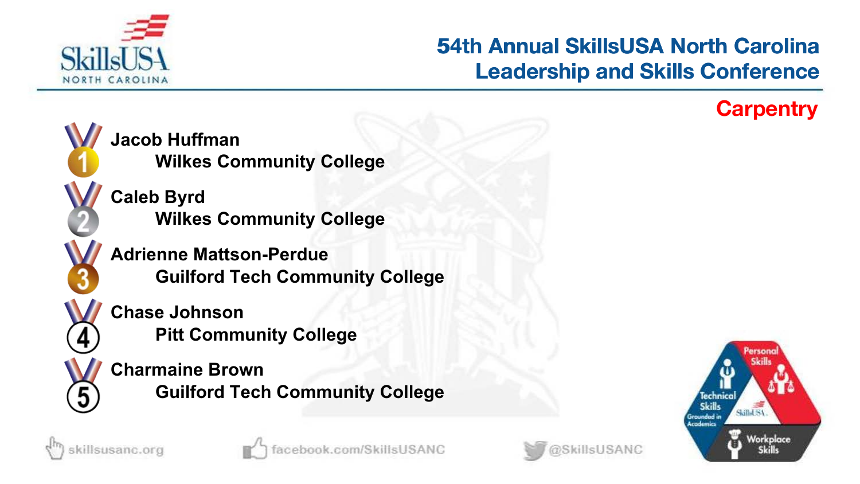

# **53rd Annual SkillsUSA North Carolina Leadership and Skills Conference 54th Annual SkillsUSA North Carolina<br>Leadership and Skills Conference<br>Carpentry**



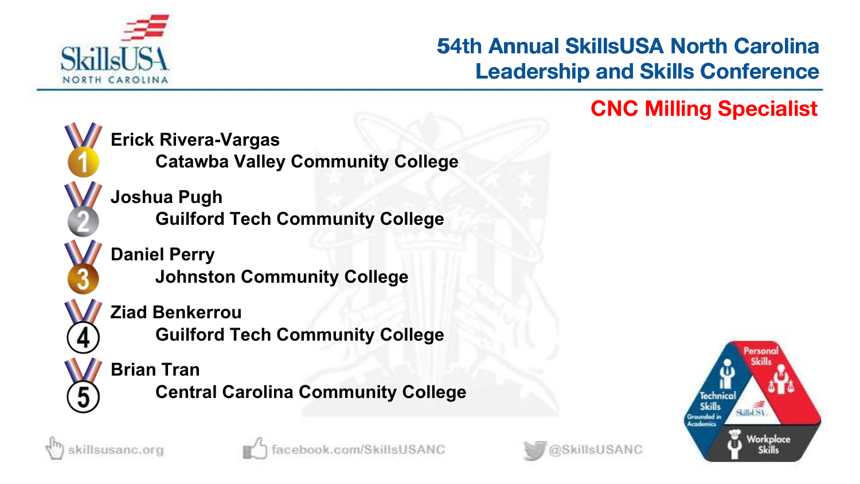

# **53rd Annual SkillsUSA North Carolina Leadership and Skills Conference 54th Annual SkillsUSA North Carolina<br>Leadership and Skills Conference<br>CNC Milling Specialist**



**Erick Rivera-Vargas**

**Catawba Valley Community College**

**Joshua Pugh Guilford Tech Community College**

**Daniel Perry Johnston Community College**

### **Ziad Benkerrou**

**Guilford Tech Community College**

### **Brian Tran**

**Central Carolina Community College**







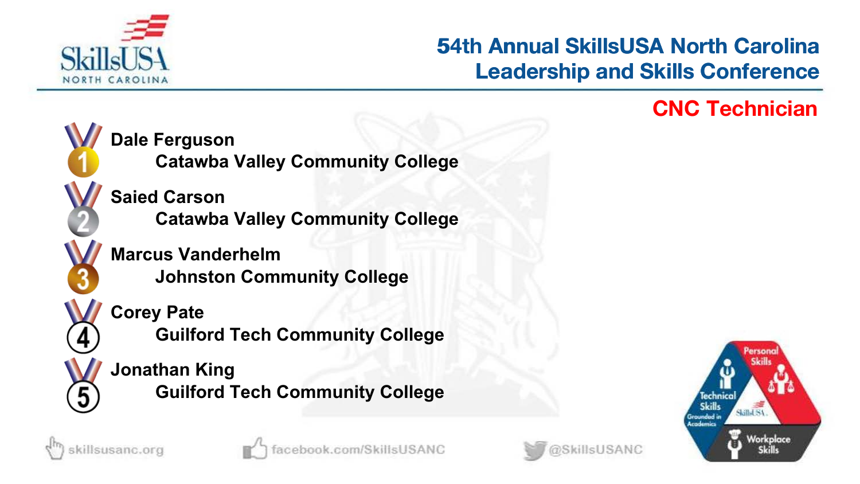

# **53rd Annual SkillsUSA North Carolina Leadership and Skills Conference 54th Annual SkillsUSA North Carolina<br>Leadership and Skills Conference<br>CNC Technician**



**Marcus Vanderhelm Catawba Valley Community College**

**Johnston Community College**



**Guilford Tech Community College**

**Jonathan King Guilford Tech Community College**







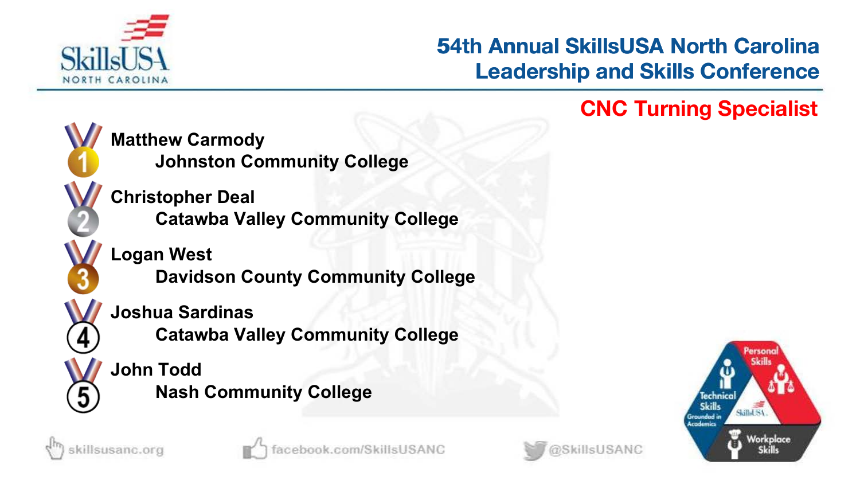

# **53rd Annual SkillsUSA North Carolina Leadership and Skills Conference 54th Annual SkillsUSA North Carolina<br>Leadership and Skills Conference<br>CNC Turning Specialist**



**Matthew Carmody Johnston Community College**

**Christopher Deal Catawba Valley Community College**

**Logan West Davidson County Community College**

**Joshua Sardinas**

**Catawba Valley Community College**

**John Todd Nash Community College**







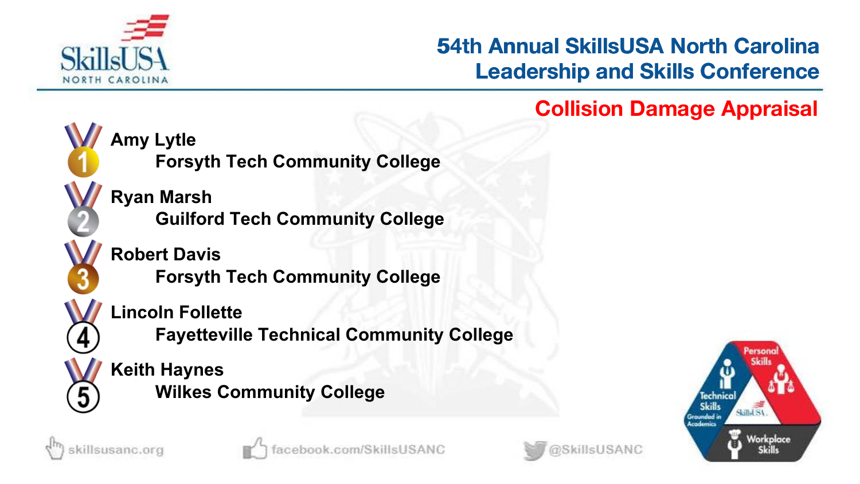

# **53rd Annual SkillsUSA North Carolina Leadership and Skills Conference 54th Annual SkillsUSA North Carolina<br>Leadership and Skills Conference<br>Collision Damage Appraisal**



**Amy Lytle Forsyth Tech Community College**

**Ryan Marsh Guilford Tech Community College**

**Robert Davis**

**Forsyth Tech Community College**

**Lincoln Follette**

**Fayetteville Technical Community College**

**Keith Haynes Wilkes Community College**





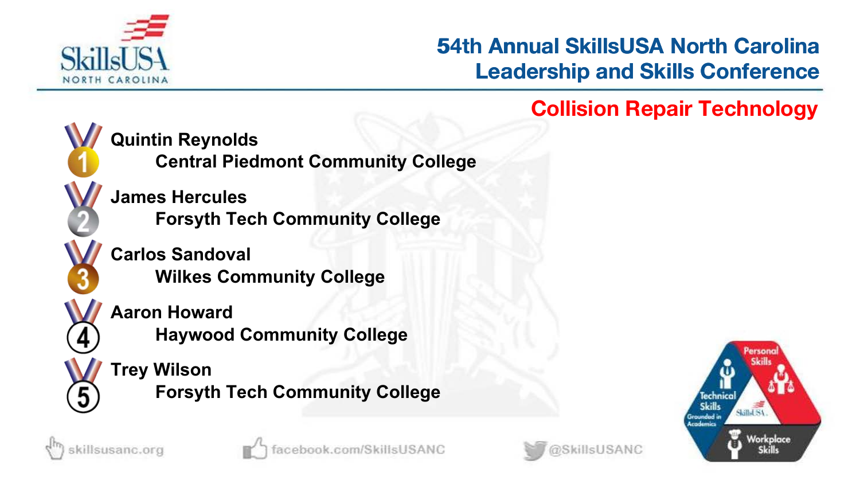

# **53rd Annual SkillsUSA North Carolina Leadership and Skills Conference 54th Annual SkillsUSA North Carolina<br>Leadership and Skills Conference<br>Collision Repair Technology**



**Quintin Reynolds**

**Central Piedmont Community College**

**James Hercules Forsyth Tech Community College**

**Carlos Sandoval Wilkes Community College**

**Aaron Howard Haywood Community College**

**Trey Wilson Forsyth Tech Community College**





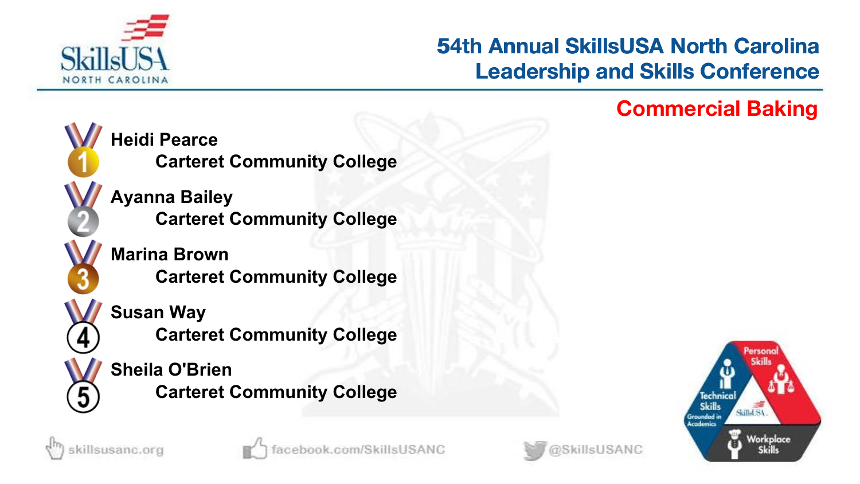

# **53rd Annual SkillsUSA North Carolina Leadership and Skills Conference 54th Annual SkillsUSA North Carolina<br>Leadership and Skills Conference<br>Commercial Baking**



**Heidi Pearce Carteret Community College**

**Ayanna Bailey Carteret Community College**

**Marina Brown Carteret Community College**



sillsusanc.org

**Carteret Community College**

**Sheila O'Brien Carteret Community College**





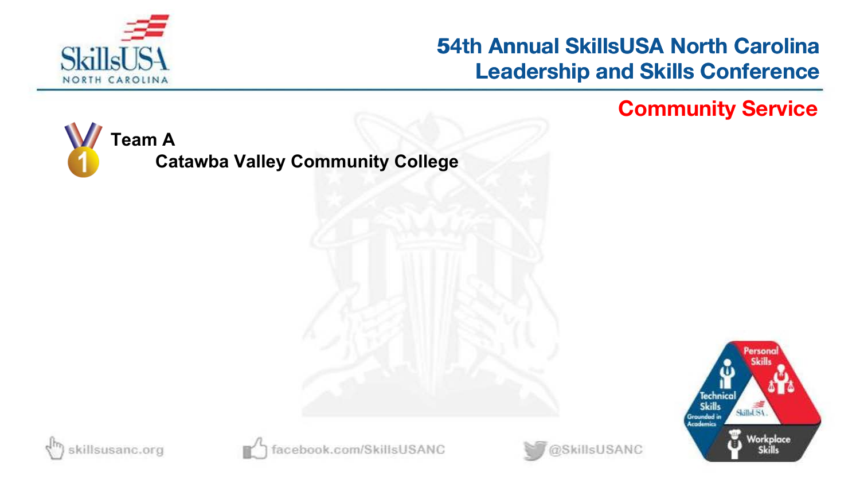

# **54th Annual SkillsUSA North Carolina Leadership and Skills Conference 54th Annual SkillsUSA North Carolina<br>Leadership and Skills Conference<br>Community Service**



**Catawba Valley Community College**







book.com/SkillsUSANC

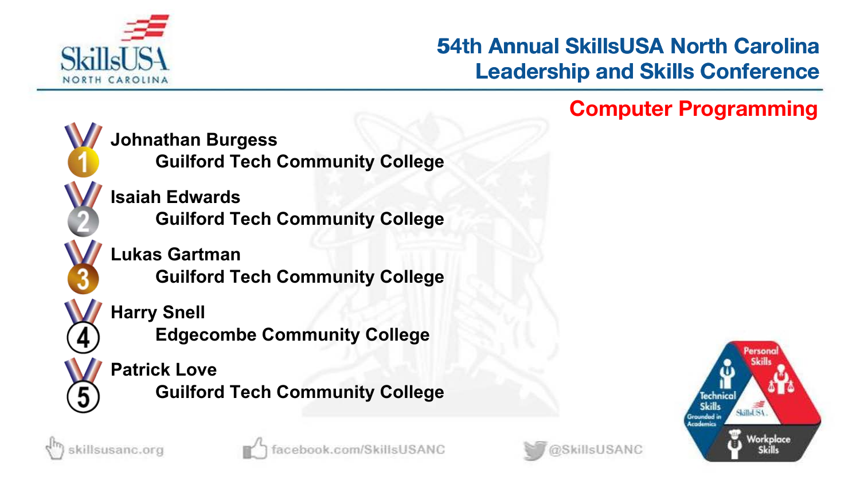

# **53rd Annual SkillsUSA North Carolina Leadership and Skills Conference 54th Annual SkillsUSA North Carolina<br>Leadership and Skills Conference<br>Computer Programming**



**Johnathan Burgess**

**Guilford Tech Community College**

**Isaiah Edwards Guilford Tech Community College**

**Lukas Gartman Guilford Tech Community College**

**Harry Snell**

**Edgecombe Community College**

### **Patrick Love**

**Guilford Tech Community College**





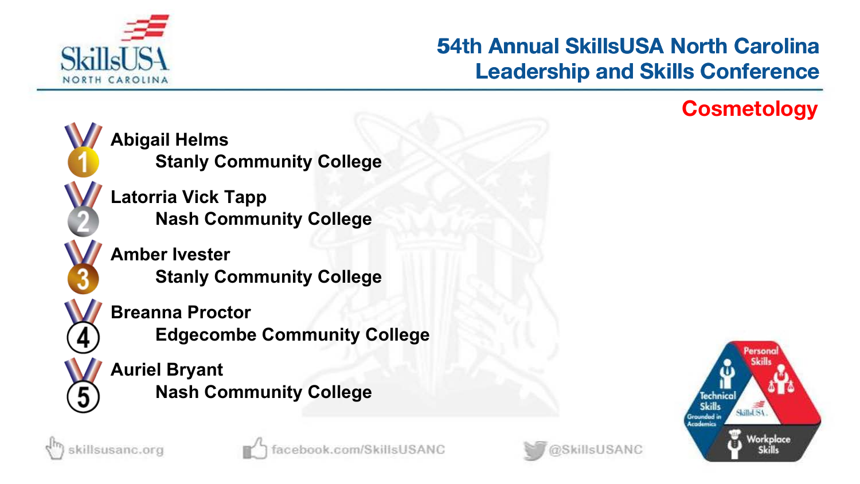

# **53rd Annual SkillsUSA North Carolina Leadership and Skills Conference 54th Annual SkillsUSA North Carolina<br>Leadership and Skills Conference<br>Cosmetology**

@SkillsUSANC



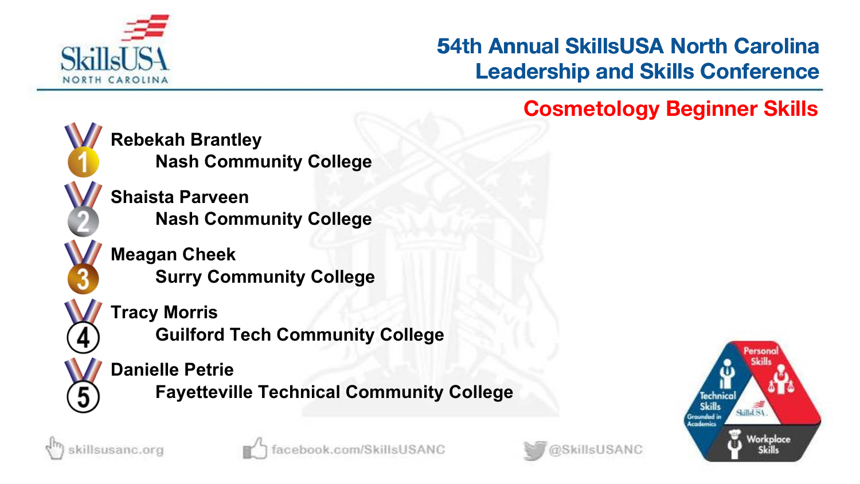

# **53rd Annual SkillsUSA North Carolina Leadership and Skills Conference 54th Annual SkillsUSA North Carolina<br>Leadership and Skills Conference<br>Cosmetology Beginner Skills**



**Rebekah Brantley Nash Community College**

**Shaista Parveen Nash Community College**

**Meagan Cheek Surry Community College**



**Guilford Tech Community College**

**Danielle Petrie**

**Fayetteville Technical Community College**







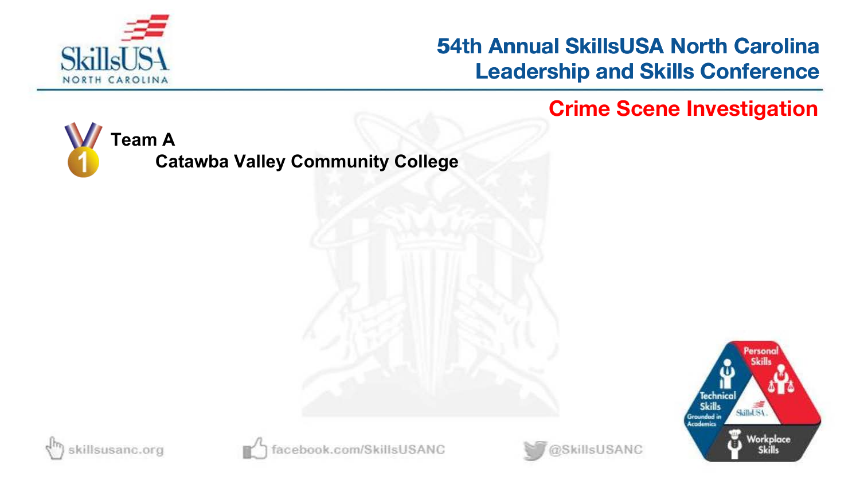

### **54th Annual SkillsUSA North Carolina Leadership and Skills Conference 54th Annual SkillsUSA North Carolina<br>Leadership and Skills Conference<br>Crime Scene Investigation**



**Catawba Valley Community College**







book.com/SkillsUSANC

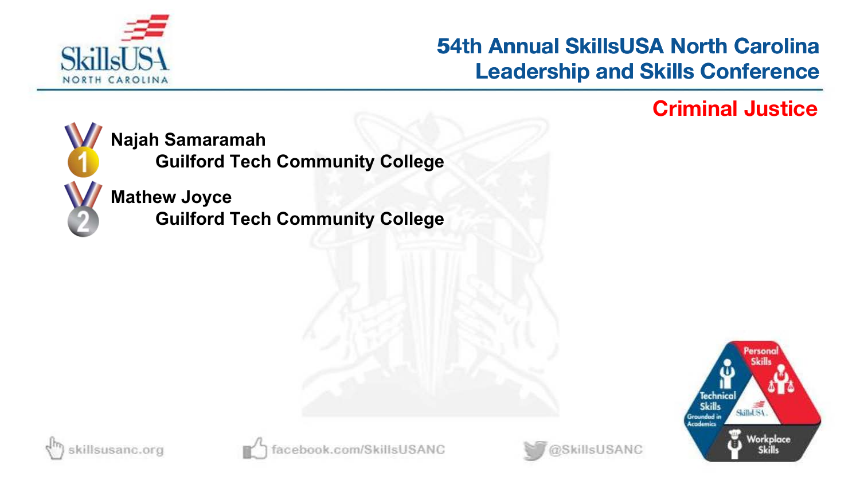

# **53rd Annual SkillsUSA North Carolina Leadership and Skills Conference 54th Annual SkillsUSA North Carolina<br>Leadership and Skills Conference<br>Criminal Justice**



**Najah Samaramah**

**Guilford Tech Community College**

**Mathew Joyce**

**Guilford Tech Community College**







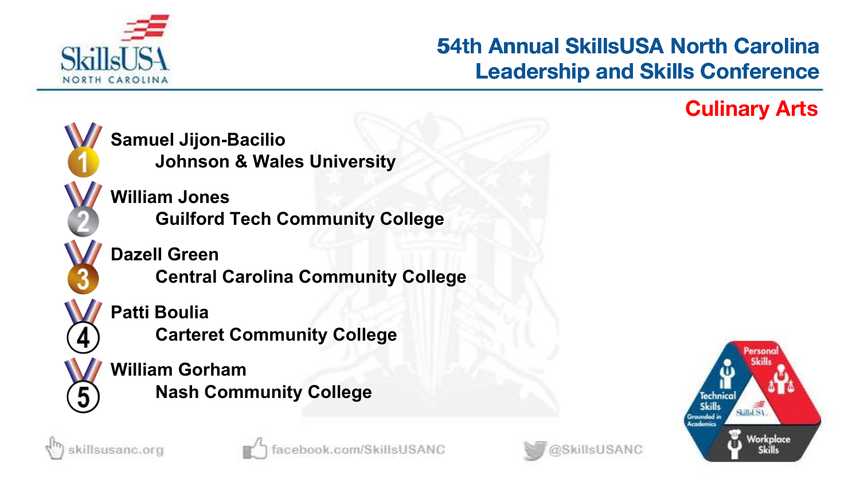

# **53rd Annual SkillsUSA North Carolina Leadership and Skills Conference 54th Annual SkillsUSA North Carolina<br>Leadership and Skills Conference<br>Culinary Arts**





cillsusanc.org



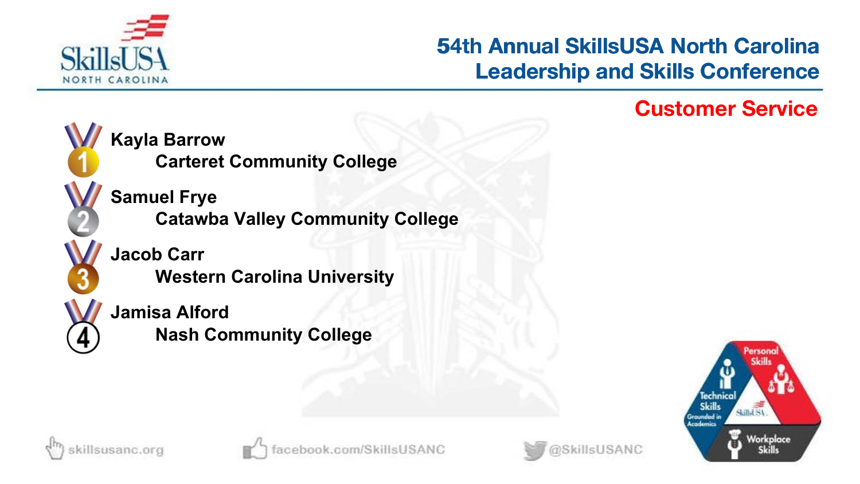

# **53rd Annual SkillsUSA North Carolina Leadership and Skills Conference 54th Annual SkillsUSA North Carolina<br>Leadership and Skills Conference<br>Customer Service**



**Kayla Barrow Carteret Community College**

**Samuel Frye Catawba Valley Community College**

**Jacob Carr Western Carolina University**

**Jamisa Alford Nash Community College**





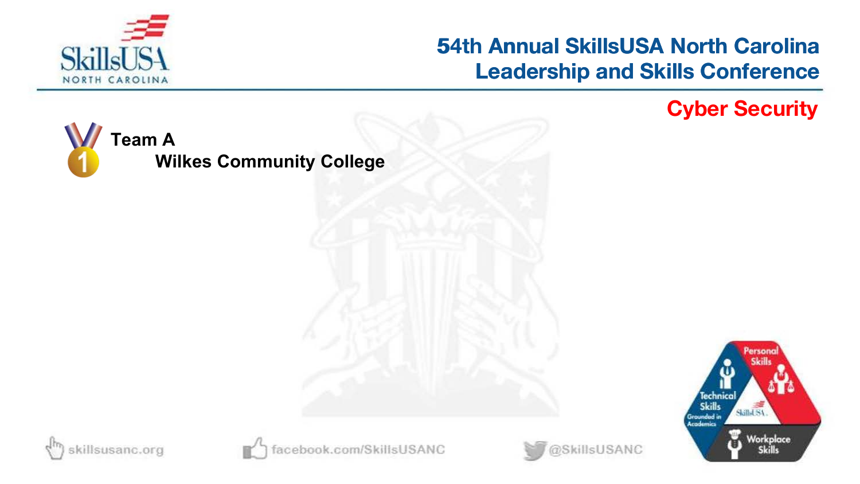

# **54th Annual SkillsUSA North Carolina Leadership and Skills Conference 54th Annual SkillsUSA North Carolina<br>Leadership and Skills Conference<br>Cyber Security**

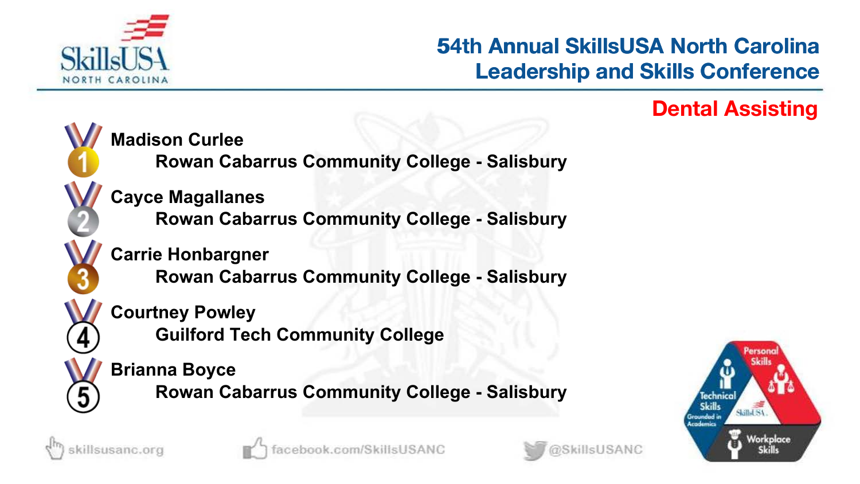

# **53rd Annual SkillsUSA North Carolina Leadership and Skills Conference 54th Annual SkillsUSA North Carolina<br>Leadership and Skills Conference<br>Dental Assisting**





sillsusanc.org



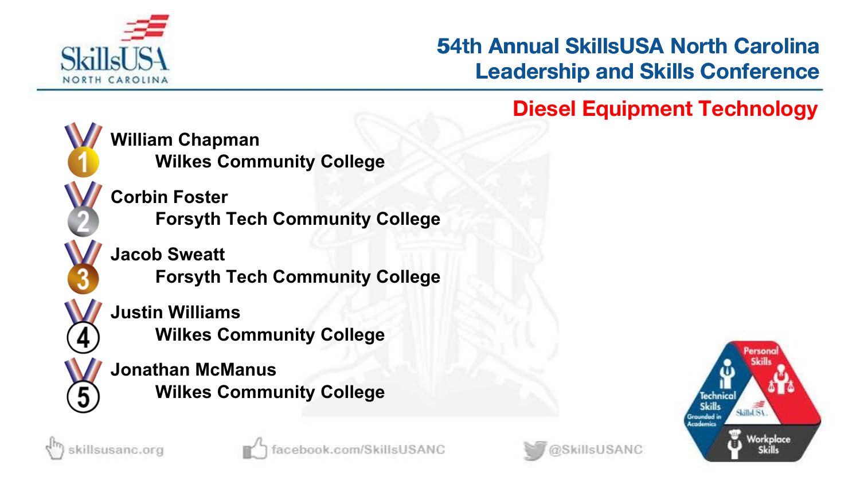

# **53rd Annual SkillsUSA North Carolina Leadership and Skills Conference 54th Annual SkillsUSA North Carolina<br>Leadership and Skills Conference<br>Diesel Equipment Technology**



**William Chapman Wilkes Community College**

**Corbin Foster Forsyth Tech Community College**

**Jacob Sweatt Forsyth Tech Community College**

**Justin Williams Wilkes Community College**

**Jonathan McManus Wilkes Community College**







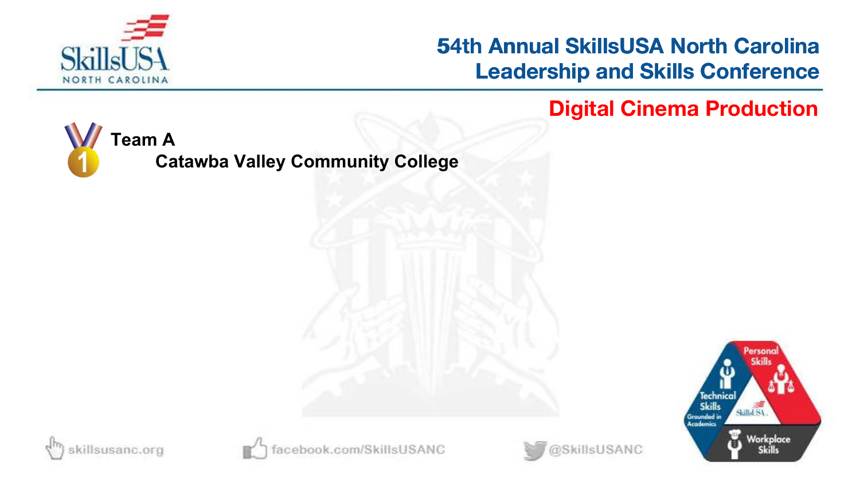

### **54th Annual SkillsUSA North Carolina Leadership and Skills Conference 54th Annual SkillsUSA North Carolina<br>Leadership and Skills Conference<br>Digital Cinema Production**



**Catawba Valley Community College**





book.com/SkillsUSANC

@SkillsUSANC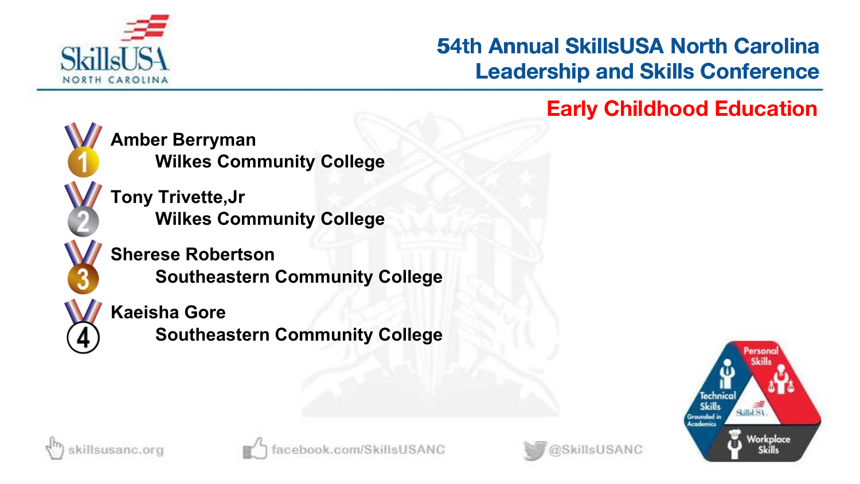

# **53rd Annual SkillsUSA North Carolina Leadership and Skills Conference 54th Annual SkillsUSA North Carolina<br>Leadership and Skills Conference<br>Early Childhood Education**



**Amber Berryman Wilkes Community College**

**Tony Trivette,Jr Wilkes Community College**

**Sherese Robertson Southeastern Community College**

**Kaeisha Gore**

**Southeastern Community College**





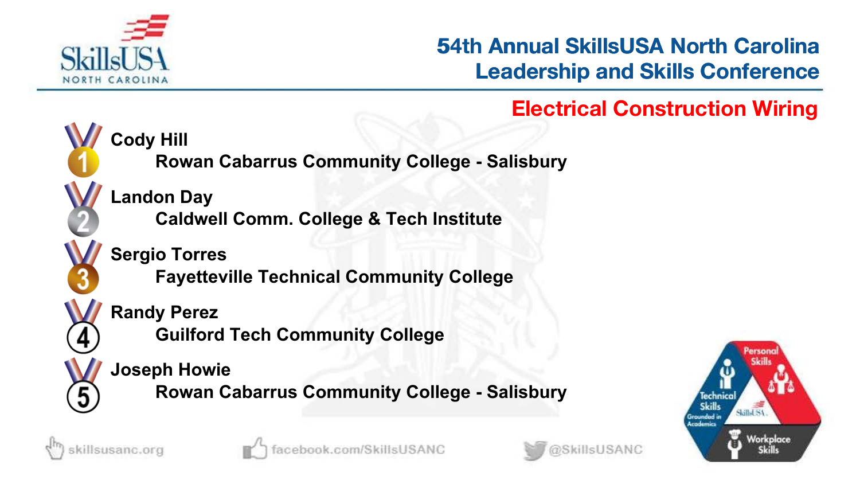

# **53rd Annual SkillsUSA North Carolina Leadership and Skills Conference 54th Annual SkillsUSA North Carolina<br>Leadership and Skills Conference<br>Electrical Construction Wiring**



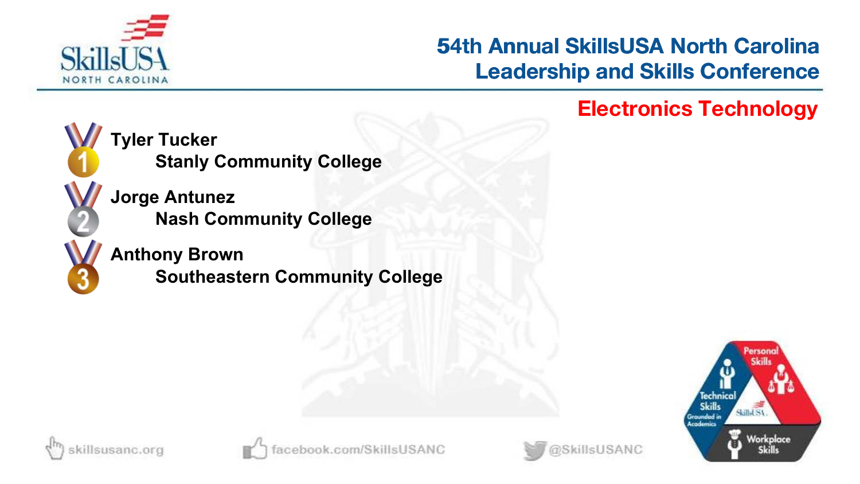

# **53rd Annual SkillsUSA North Carolina Leadership and Skills Conference 54th Annual SkillsUSA North Carolina<br>Leadership and Skills Conference<br>Electronics Technology**



**Tyler Tucker Stanly Community College**

**Jorge Antunez Nash Community College**

### **Anthony Brown**

**Southeastern Community College**





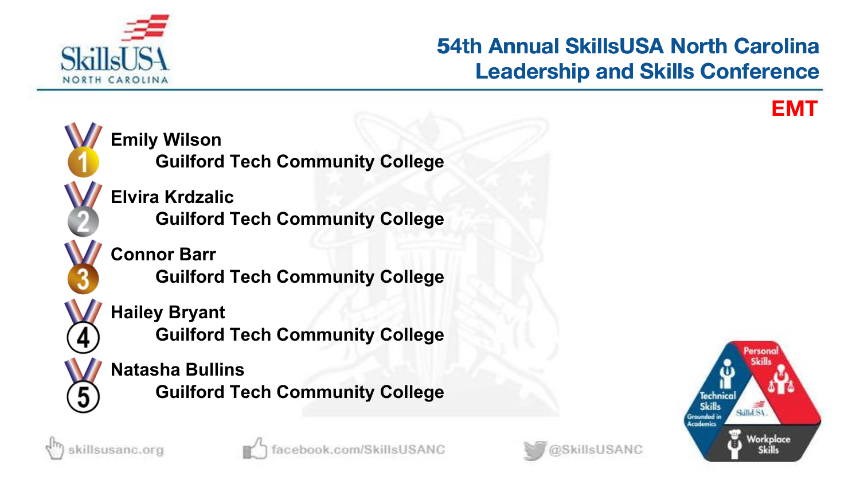

# **53rd Annual SkillsUSA North Carolina Leadership and Skills Conference 54th Annual SkillsUSA North Carolina<br>Leadership and Skills Conference**<br>EMT







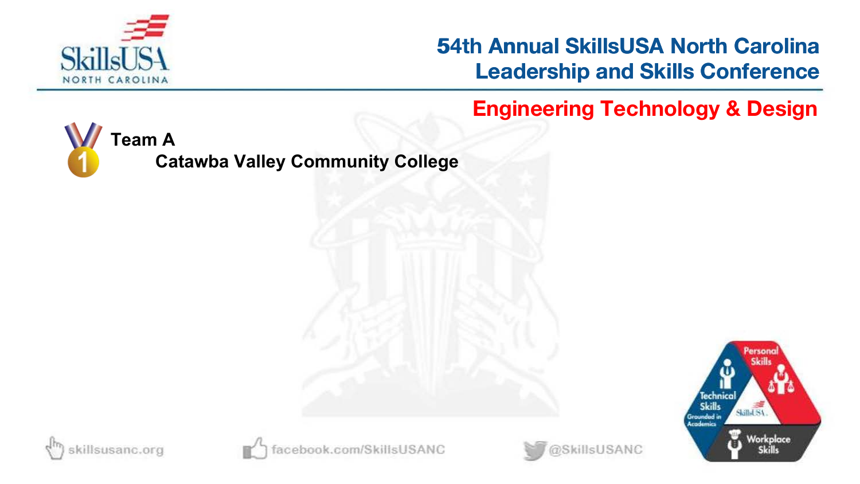

**54th Annual SkillsUSA North Carolina Leadership and Skills Conference**

**54th Engineering Technology & Design**



**Catawba Valley Community College**







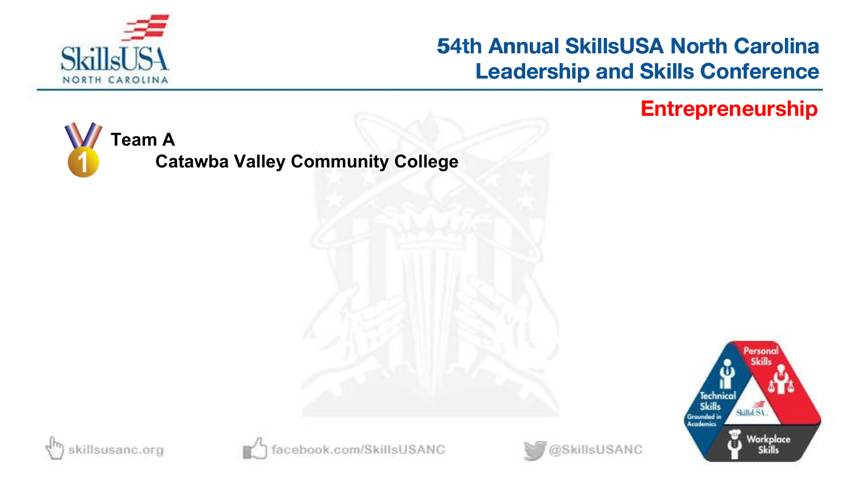

## **54th Annual SkillsUSA North Carolina Leadership and Skills Conference 54th Annual SkillsUSA North Carolina<br>Leadership and Skills Conference<br>Entrepreneurship**



**Catawba Valley Community College**







book.com/SkillsUSANC

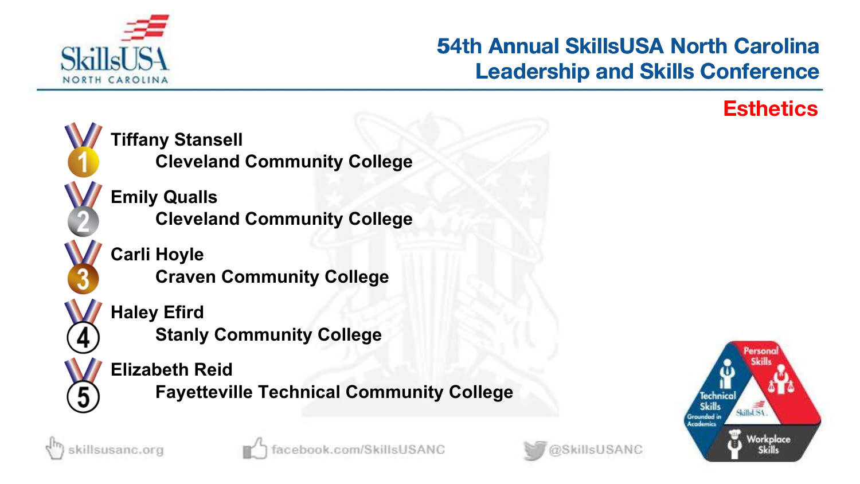

# **53rd Annual SkillsUSA North Carolina Leadership and Skills Conference 54th Annual SkillsUSA North Carolina<br>Leadership and Skills Conference<br>Esthetics**







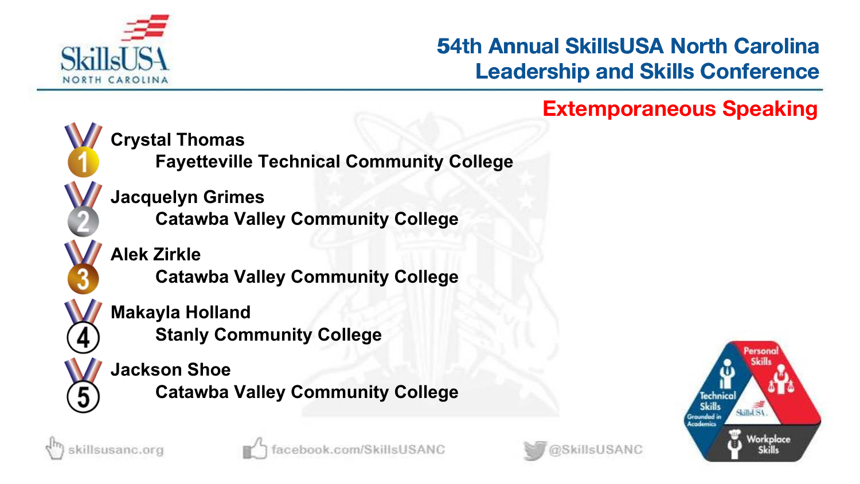

# **53rd Annual SkillsUSA North Carolina Leadership and Skills Conference 54th Annual SkillsUSA North Carolina<br>Leadership and Skills Conference<br>Extemporaneous Speaking**



**Crystal Thomas**

**Fayetteville Technical Community College**

**Jacquelyn Grimes Catawba Valley Community College**

**Alek Zirkle Catawba Valley Community College**

**Makayla Holland Stanly Community College**

**Jackson Shoe Catawba Valley Community College**



killsusanc.org



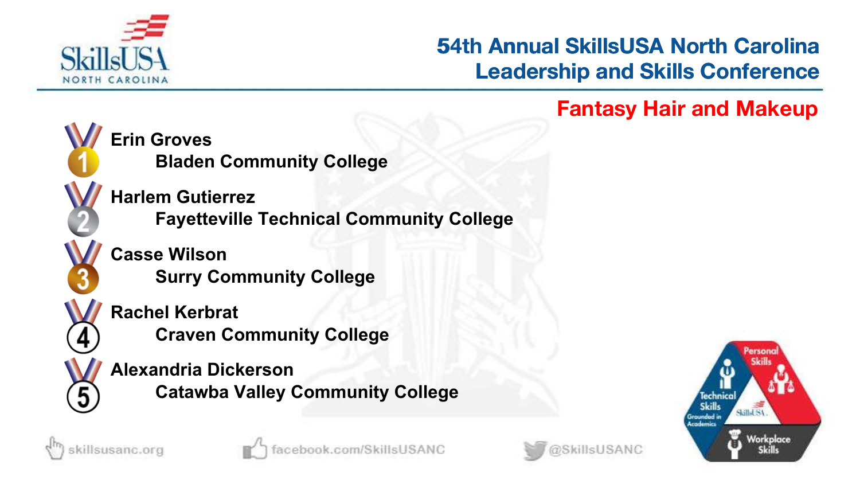

# **53rd Annual SkillsUSA North Carolina Leadership and Skills Conference 54th Annual SkillsUSA North Carolina<br>Leadership and Skills Conference<br>Fantasy Hair and Makeup**



**Erin Groves Bladen Community College**

**Harlem Gutierrez Fayetteville Technical Community College**

**Casse Wilson Surry Community College**

**Rachel Kerbrat Craven Community College**

**Alexandria Dickerson Catawba Valley Community College**





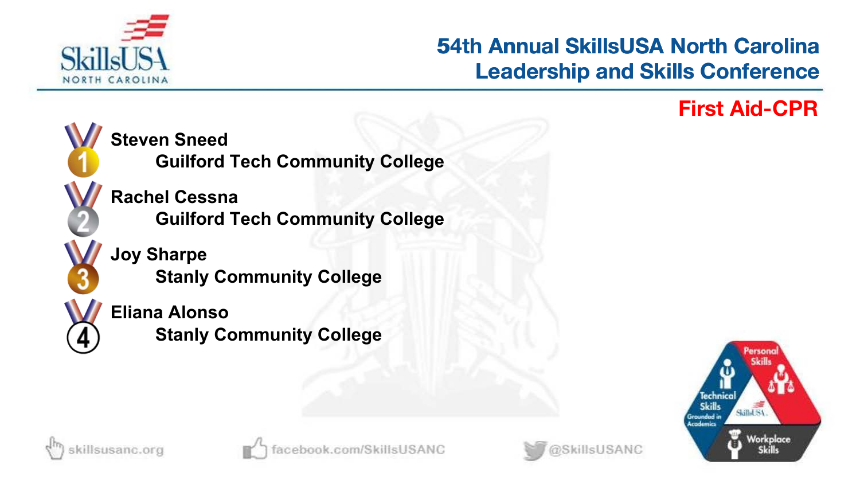

# **53rd Annual SkillsUSA North Carolina Leadership and Skills Conference 54th Annual SkillsUSA North Carolina<br>Leadership and Skills Conference<br>First Aid-CPR**









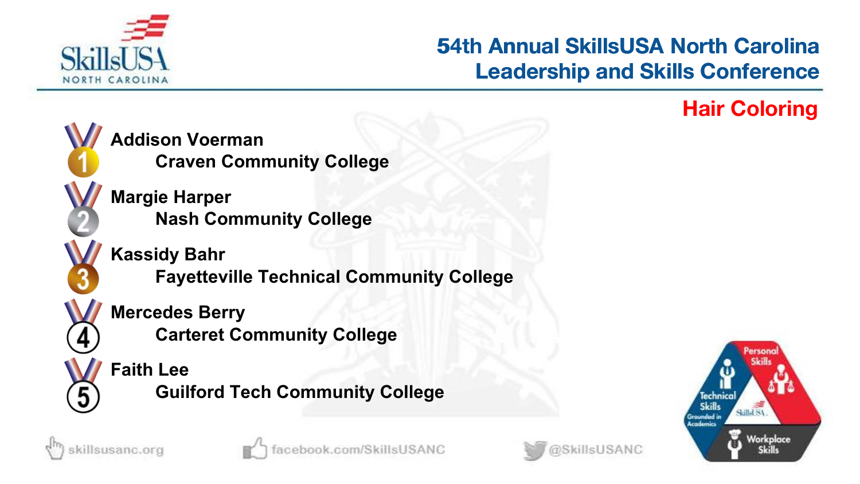

# **53rd Annual SkillsUSA North Carolina Leadership and Skills Conference 54th Annual SkillsUSA North Carolina<br>Leadership and Skills Conference<br>Hair Coloring**



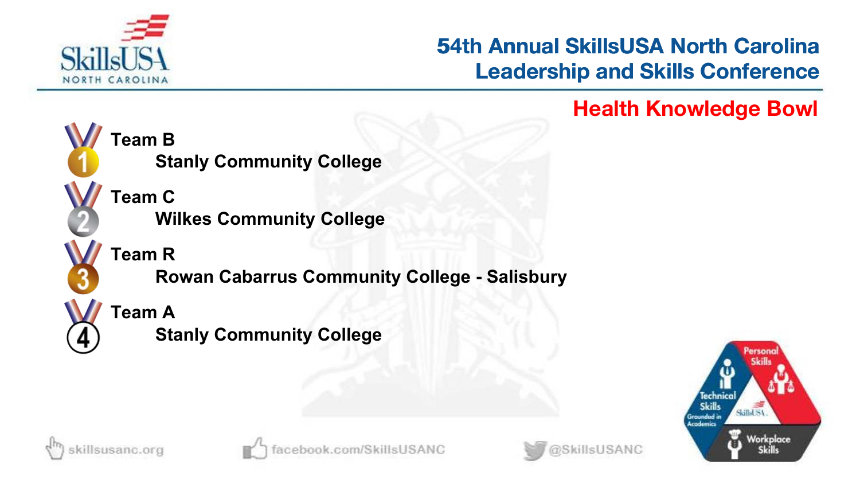

# **53rd Annual SkillsUSA North Carolina Leadership and Skills Conference 54th Annual SkillsUSA North Carolina<br>Leadership and Skills Conference<br>Health Knowledge Bowl**



**Stanly Community College**

**Wilkes Community College**

**Team R**

**Rowan Cabarrus Community College - Salisbury**

**Team A**

**Stanly Community College**





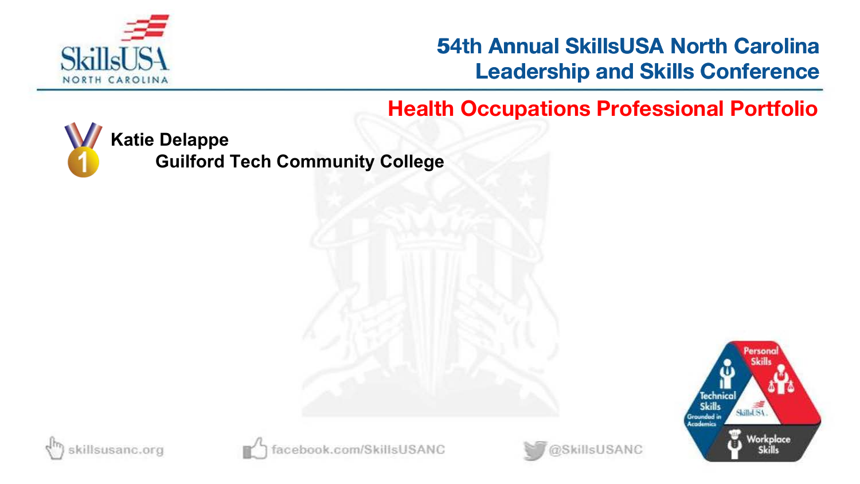

### **53rd Annual SkillsUSA North Carolina Leadership and Skills Conference**

### **54th Health Occupations Professional Portfolio**



**Katie Delappe**

**Guilford Tech Community College**







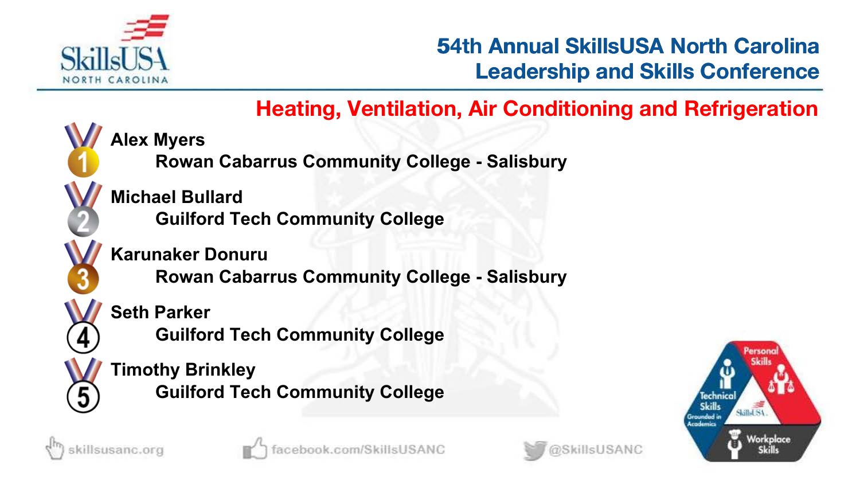

### **53rd Annual SkillsUSA North Carolina Leadership and Skills Conference**

### **54th Heating, Ventilation, Air Conditioning and Refrigeration**

**Alex Myers**

**Rowan Cabarrus Community College - Salisbury**

**Michael Bullard Guilford Tech Community College**

**Karunaker Donuru**

**Rowan Cabarrus Community College - Salisbury**

**Seth Parker**

**Guilford Tech Community College**

**Timothy Brinkley Guilford Tech Community College** **Salled SA** Workplace



5



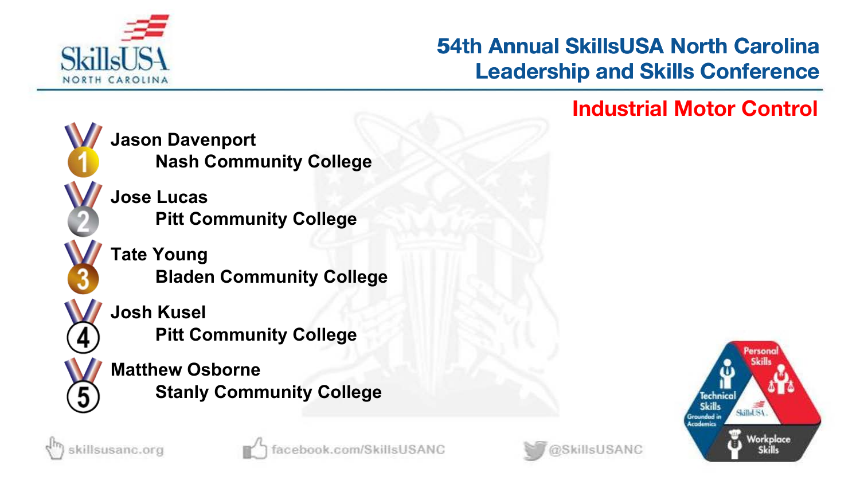

# **53rd Annual SkillsUSA North Carolina Leadership and Skills Conference 54th Annual SkillsUSA North Carolina<br>Leadership and Skills Conference<br>Industrial Motor Control**



sillsusanc.org

**Jason Davenport Nash Community College**

**Jose Lucas Pitt Community College**

**Tate Young Bladen Community College**

**Josh Kusel Pitt Community College**

**Matthew Osborne Stanly Community College**

ok.com/SkillsUSANC



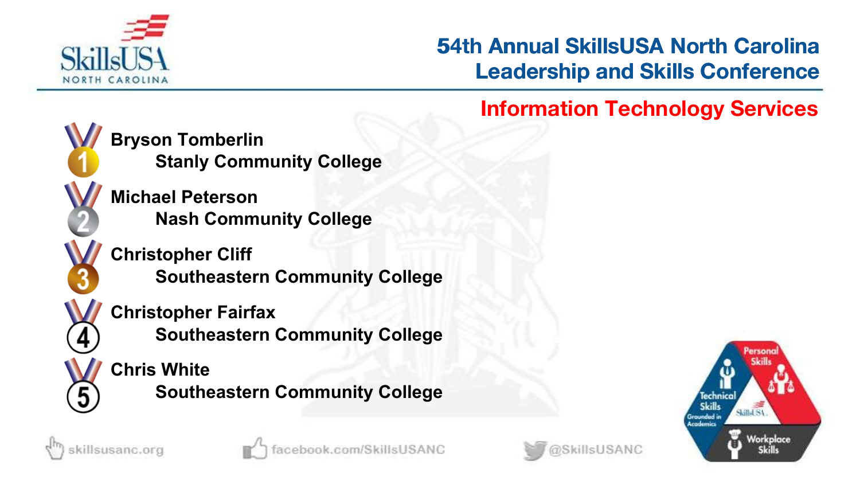

# **53rd Annual SkillsUSA North Carolina Leadership and Skills Conference 54th Annual SkillsUSA North Carolina<br>
Leadership and Skills Conference<br>
Information Technology Services**

@SkillsUSANC



sillsusanc.org

**Bryson Tomberlin Stanly Community College**

**Michael Peterson Nash Community College**

**Christopher Cliff Southeastern Community College**

**Christopher Fairfax**

**Southeastern Community College**

ook.com/SkillsUSANC

**Chris White Southeastern Community College** echnico Skilled SA Workplace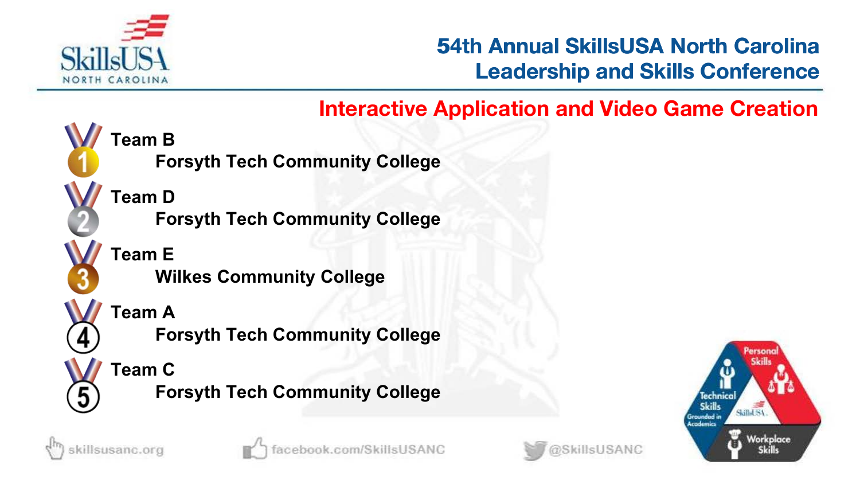

### **53rd Annual SkillsUSA North Carolina Leadership and Skills Conference**

### **Interactive Application and Video Game Creation**



**Team D Forsyth Tech Community College**

**Forsyth Tech Community College**

**Team E Wilkes Community College**

**Team A**

**Forsyth Tech Community College**

**Team C**

**Forsyth Tech Community College**





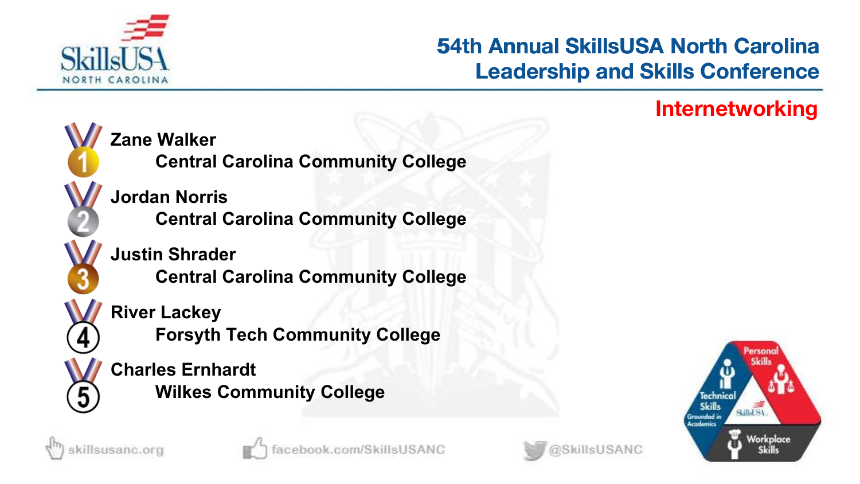

# **53rd Annual SkillsUSA North Carolina Leadership and Skills Conference 54th Annual SkillsUSA North Carolina<br>Leadership and Skills Conference<br>Internetworking**





illsusanc.org



ok.com/SkillsUSANC

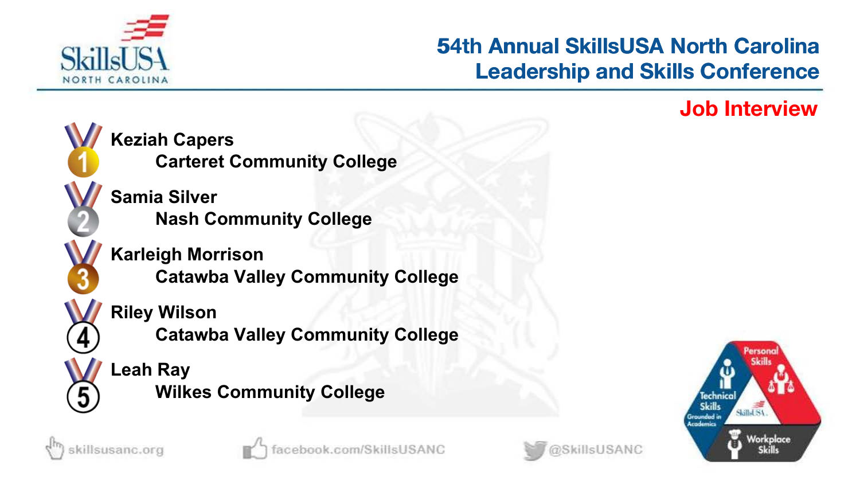

# **53rd Annual SkillsUSA North Carolina Leadership and Skills Conference 54th Annual SkillsUSA North Carolina<br>Leadership and Skills Conference<br>Job Interview**





killsusanc.org



@SkillsUSANC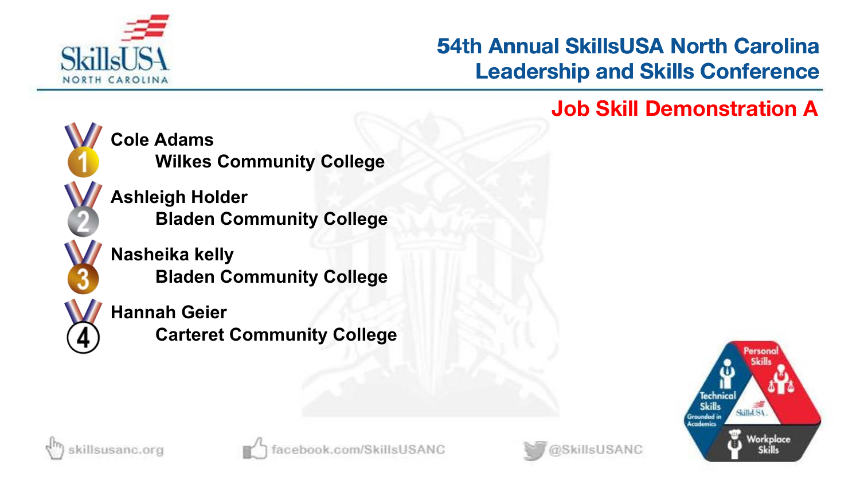

# **53rd Annual SkillsUSA North Carolina Leadership and Skills Conference 54th Annual SkillsUSA North Carolina<br>Leadership and Skills Conference<br>Job Skill Demonstration A**



**Cole Adams Wilkes Community College**

**Ashleigh Holder Bladen Community College**

**Nasheika kelly Bladen Community College**

**Hannah Geier Carteret Community College**





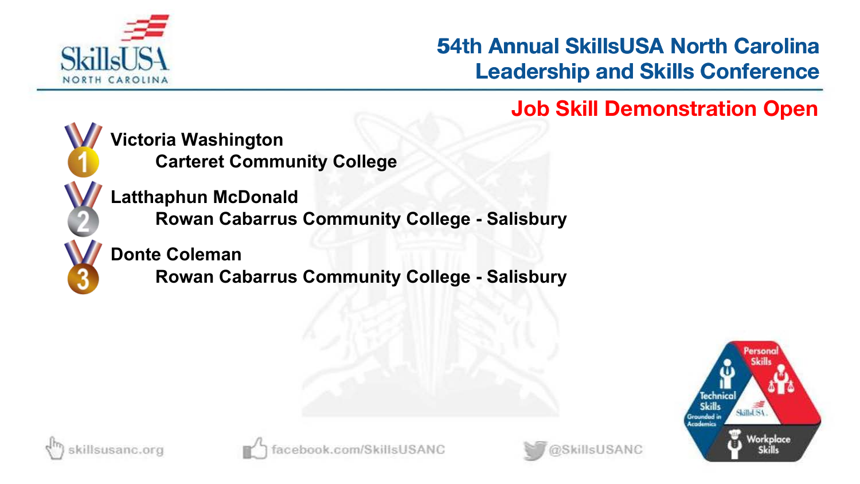

**53rd Annual SkillsUSA North Carolina Leadership and Skills Conference 54th Annual SkillsUSA North Carolina<br>Leadership and Skills Conference<br>Job Skill Demonstration Open** 



**Victoria Washington Carteret Community College**

**Latthaphun McDonald Rowan Cabarrus Community College - Salisbury**

**Donte Coleman**

**Rowan Cabarrus Community College - Salisbury**





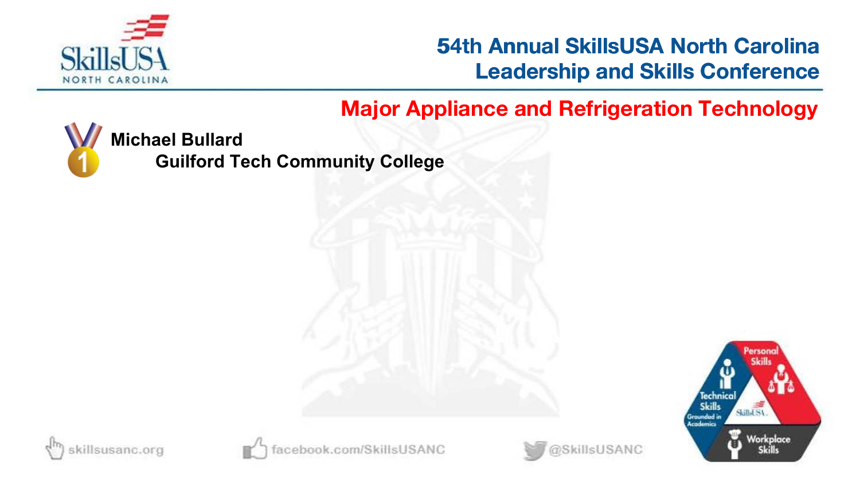

### **53rd Annual SkillsUSA North Carolina Leadership and Skills Conference**

### **Major Appliance and Refrigeration Technology**



**Michael Bullard**

**Guilford Tech Community College**





oook.com/SkillsUSANC

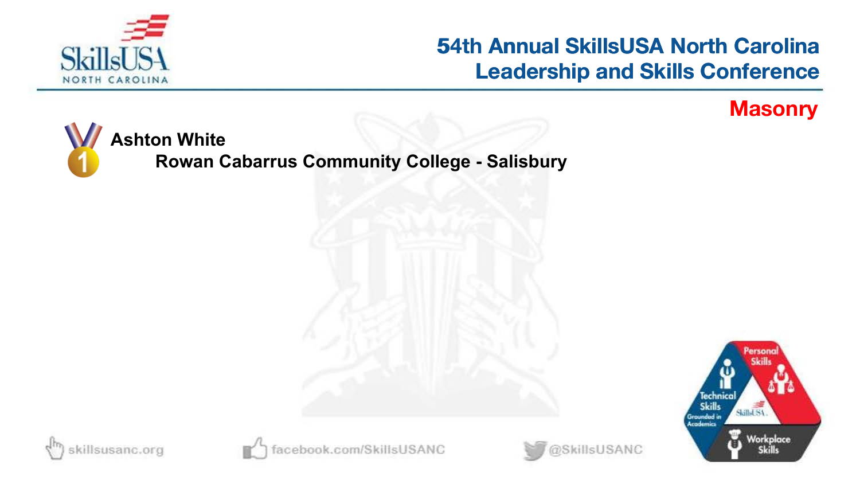

## **54th Annual SkillsUSA North Carolina Leadership and Skills Conference 54th Annual SkillsUSA North Carolina<br>Leadership and Skills Conference<br>Masonry**



**Rowan Cabarrus Community College - Salisbury**







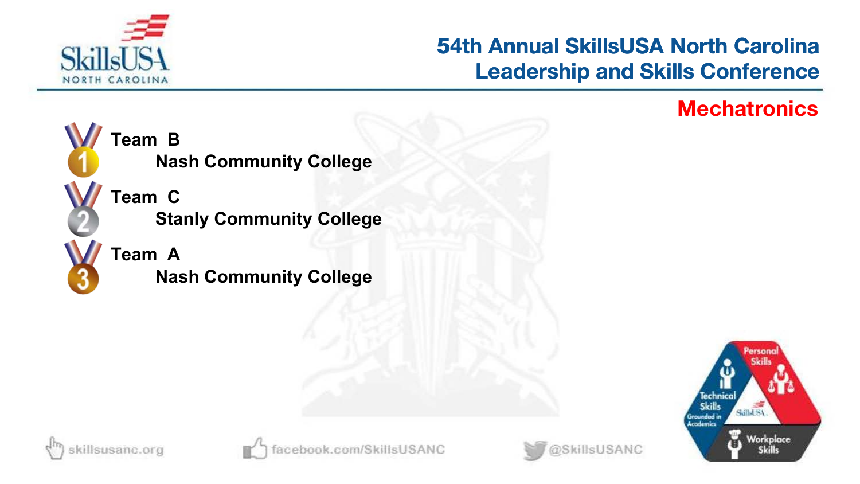

# **53rd Annual SkillsUSA North Carolina Leadership and Skills Conference 54th Annual SkillsUSA North Carolina<br>Leadership and Skills Conference<br>Mechatronics**



**Team B Nash Community College**

**Team C Stanly Community College**

**Team A Nash Community College**





@SkillsUSANC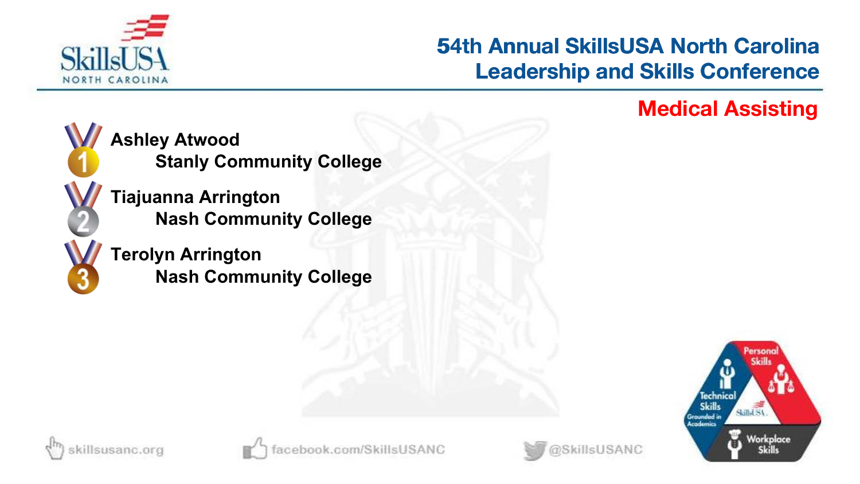

# **53rd Annual SkillsUSA North Carolina Leadership and Skills Conference 54th Annual SkillsUSA North Carolina<br>Leadership and Skills Conference<br>Medical Assisting**



**Ashley Atwood Stanly Community College**

**Tiajuanna Arrington Nash Community College**

**Terolyn Arrington Nash Community College**







@SkillsUSANC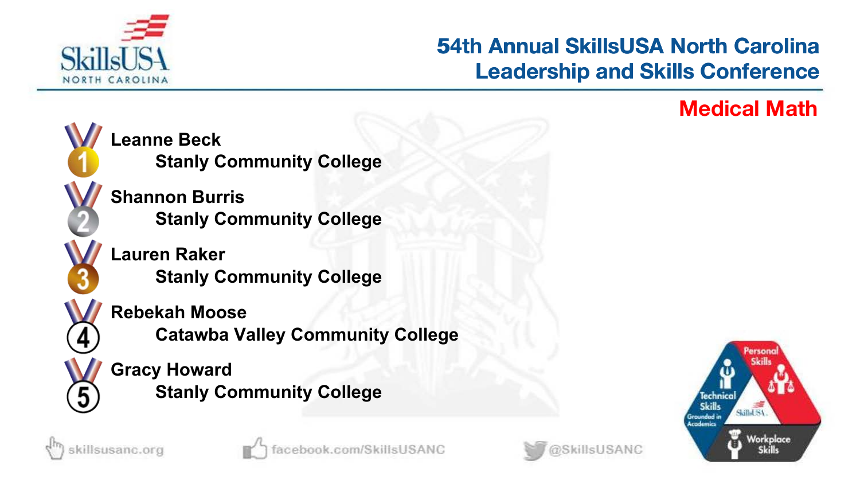

# **53rd Annual SkillsUSA North Carolina Leadership and Skills Conference 54th Annual SkillsUSA North Carolina<br>Leadership and Skills Conference<br>Medical Math**



**Leanne Beck Stanly Community College**

**Shannon Burris Stanly Community College**

**Lauren Raker Stanly Community College**

**Rebekah Moose**

**Catawba Valley Community College**

**Gracy Howard Stanly Community College**



killsusanc.org



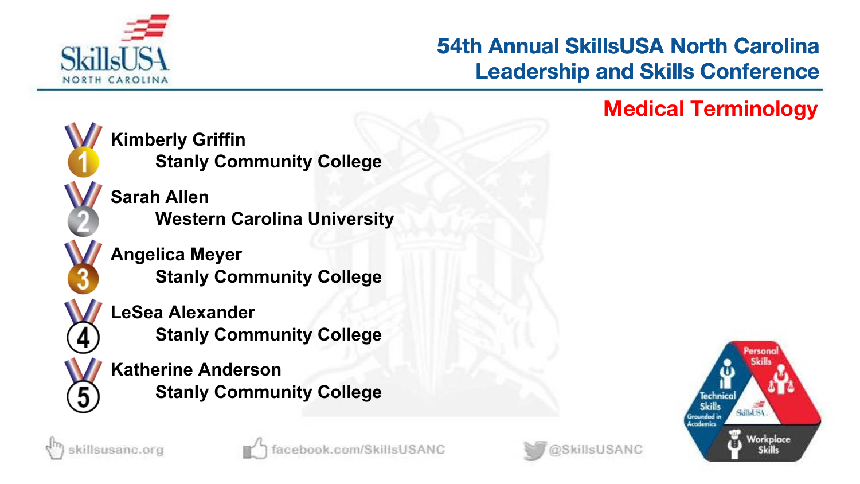

# **53rd Annual SkillsUSA North Carolina Leadership and Skills Conference 54th Annual SkillsUSA North Carolina<br>Leadership and Skills Conference<br>Medical Terminology**

@SkillsUSANC



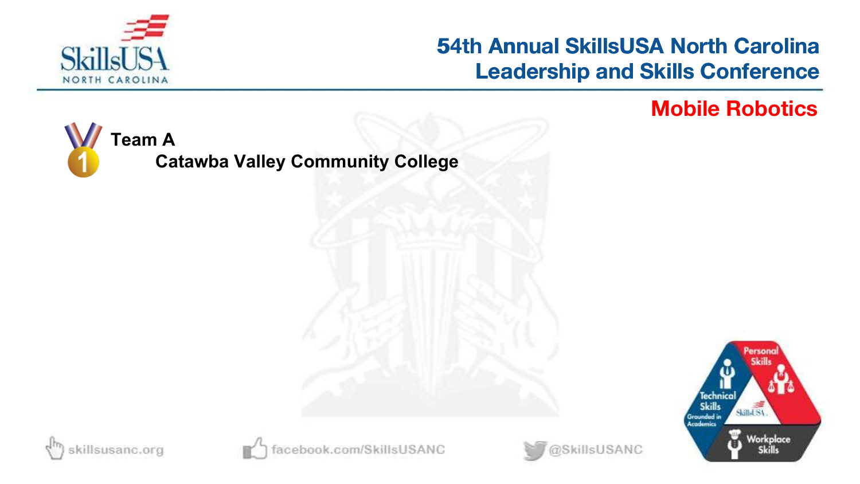

## **54th Annual SkillsUSA North Carolina Leadership and Skills Conference 54th Annual SkillsUSA North Carolina<br>Leadership and Skills Conference<br>Mobile Robotics**

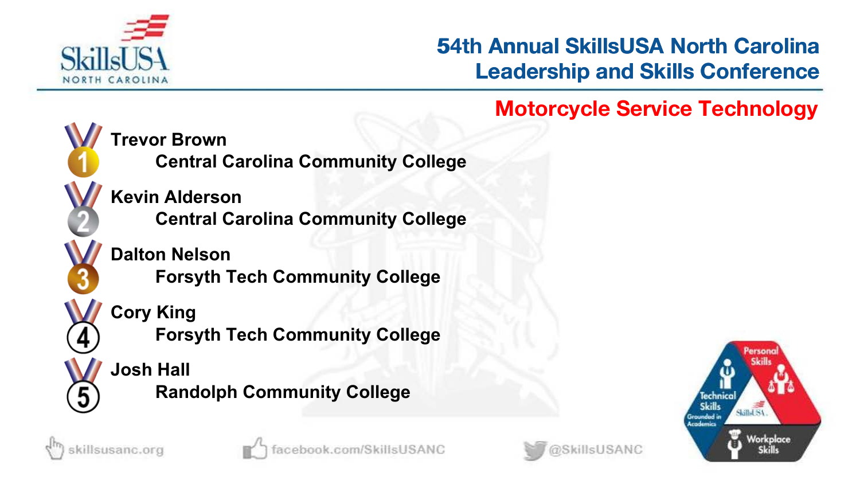

# **53rd Annual SkillsUSA North Carolina Leadership and Skills Conference 54th Annual SkillsUSA North Carolina<br>
Leadership and Skills Conference<br>
Motorcycle Service Technology**



**Trevor Brown**

**Central Carolina Community College**

**Kevin Alderson Central Carolina Community College**

**Dalton Nelson**

**Forsyth Tech Community College**

**Cory King**

**Forsyth Tech Community College**

### **Josh Hall**

**Randolph Community College**







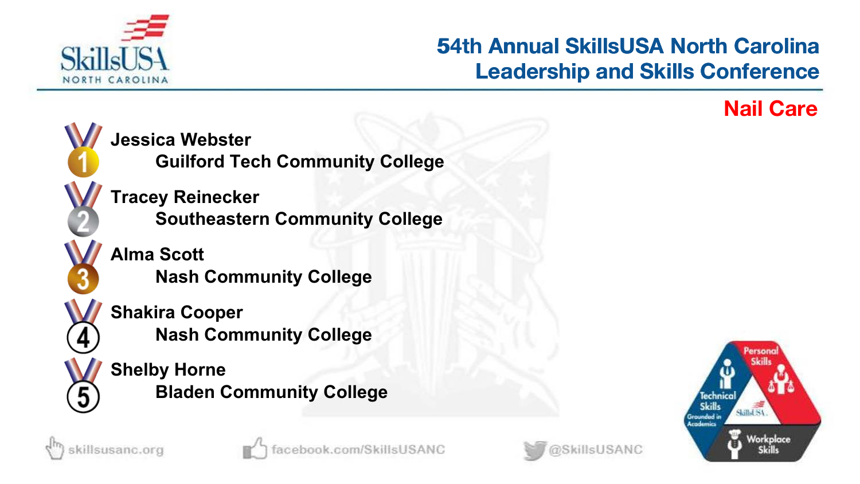

# **53rd Annual SkillsUSA North Carolina Leadership and Skills Conference 54th Annual SkillsUSA North Carolina<br>Leadership and Skills Conference<br>Nail Care**







illsusanc.org

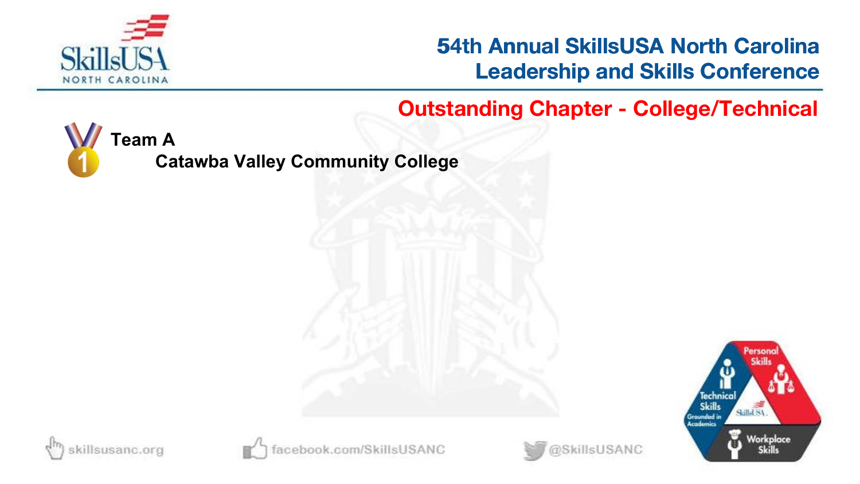

### **53rd Annual SkillsUSA North Carolina Leadership and Skills Conference**

**54th Outstanding Chapter - College/Technical**

@SkillsUSANC



**Catawba Valley Community College**





book.com/SkillsUSANC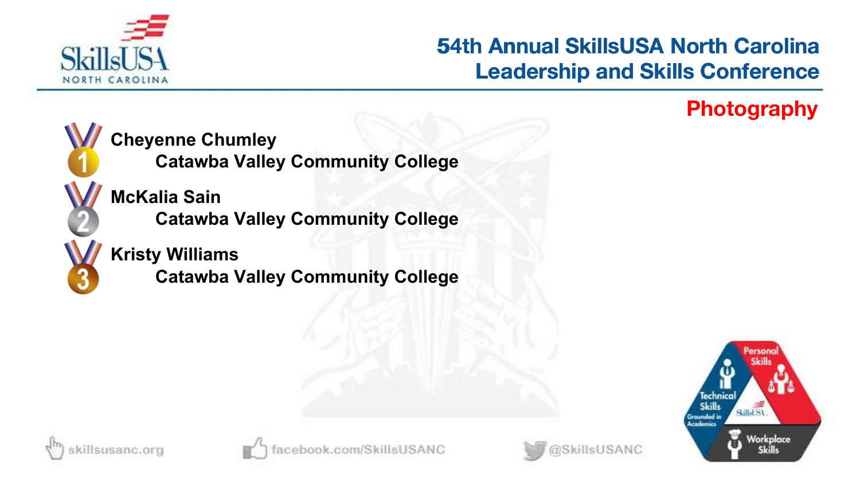

# **53rd Annual SkillsUSA North Carolina Leadership and Skills Conference 54th Annual SkillsUSA North Carolina<br>Leadership and Skills Conference<br>Photography**



**Cheyenne Chumley**

**Catawba Valley Community College**

**McKalia Sain Catawba Valley Community College**

**Kristy Williams**

**Catawba Valley Community College**





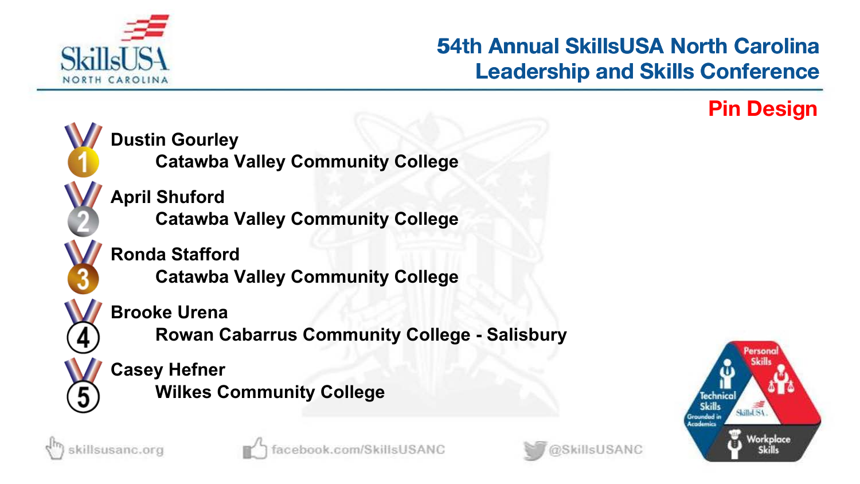

# **53rd Annual SkillsUSA North Carolina Leadership and Skills Conference 54th Annual SkillsUSA North Carolina<br>Leadership and Skills Conference<br>Pin Design**







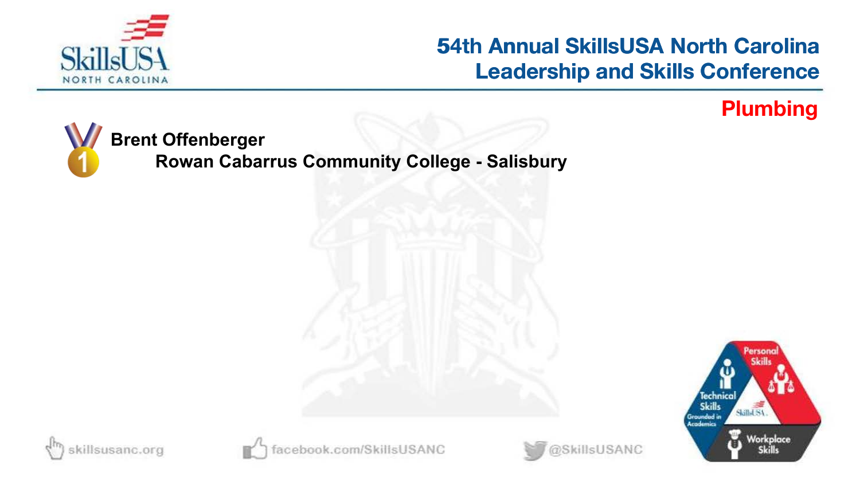

## **54th Annual SkillsUSA North Carolina Leadership and Skills Conference 54th Annual SkillsUSA North Carolina<br>Leadership and Skills Conference<br>Plumbing**



**Rowan Cabarrus Community College - Salisbury**









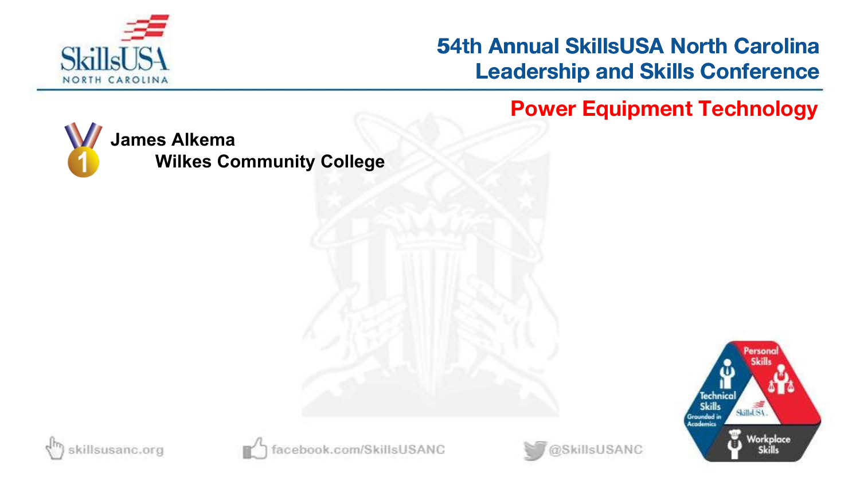

## **54th Annual SkillsUSA North Carolina Leadership and Skills Conference 54th Annual SkillsUSA North Carolina<br>
Leadership and Skills Conference<br>
Power Equipment Technology**







book.com/SkillsUSANC

@SkillsUSANC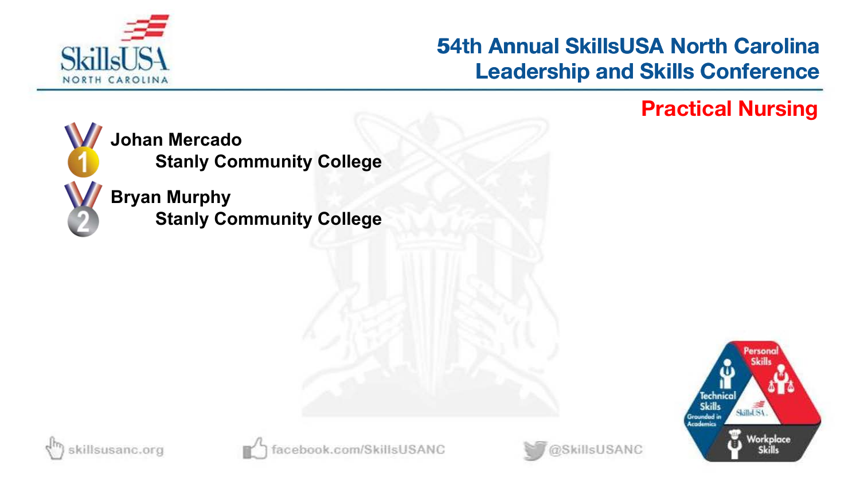

# **53rd Annual SkillsUSA North Carolina Leadership and Skills Conference 54th Annual SkillsUSA North Carolina<br>Leadership and Skills Conference<br>Practical Nursing**



**Johan Mercado Stanly Community College**

**Bryan Murphy Stanly Community College**







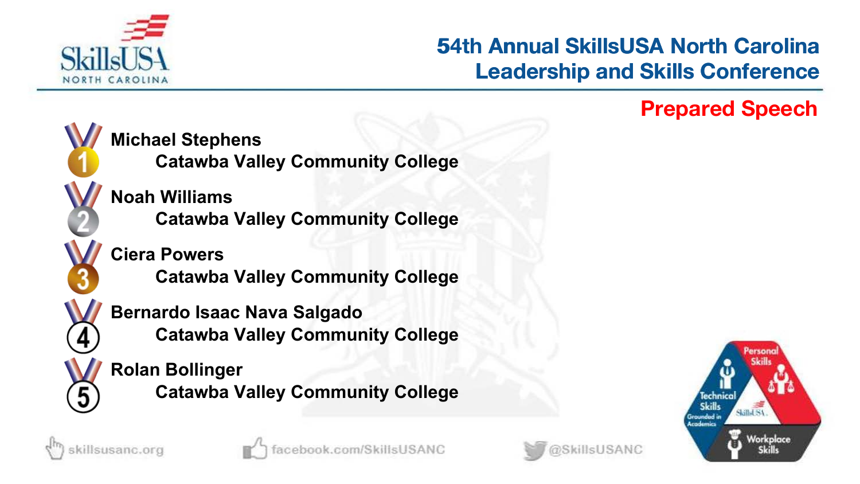

# **53rd Annual SkillsUSA North Carolina Leadership and Skills Conference 54th Annual SkillsUSA North Carolina<br>Leadership and Skills Conference<br>Prepared Speech**



**Michael Stephens**

**Catawba Valley Community College**

**Noah Williams Catawba Valley Community College**

**Ciera Powers**

**Catawba Valley Community College**

**Bernardo Isaac Nava Salgado Catawba Valley Community College**

**Rolan Bollinger Catawba Valley Community College**







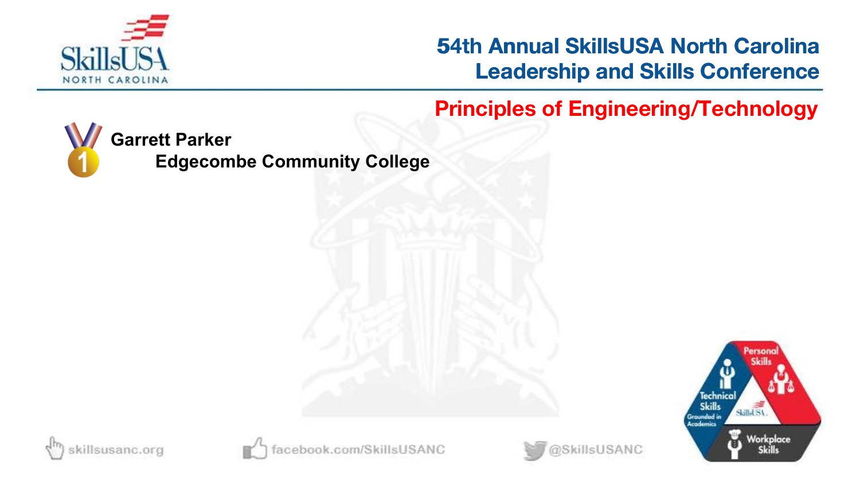

**54th Principles of Engineering/Technology**



**Edgecombe Community College**







book.com/SkillsUSANC

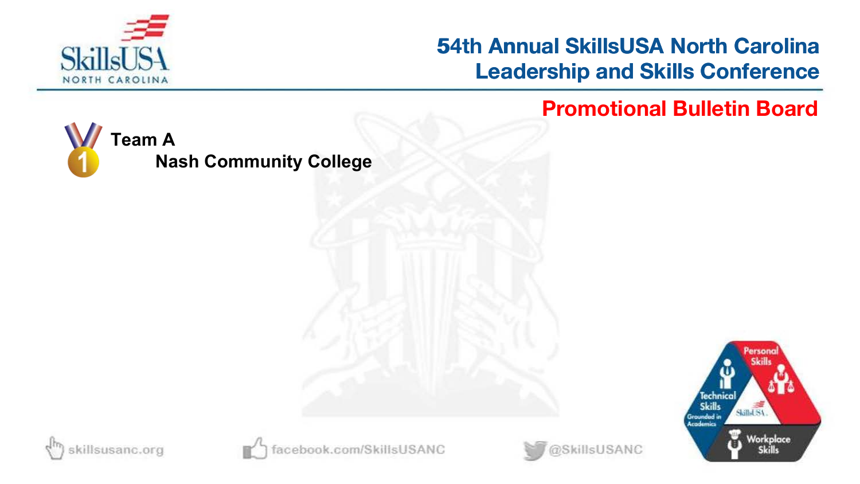

## **54th Annual SkillsUSA North Carolina Leadership and Skills Conference 54th Annual SkillsUSA North Carolina<br>Leadership and Skills Conference<br>Promotional Bulletin Board**

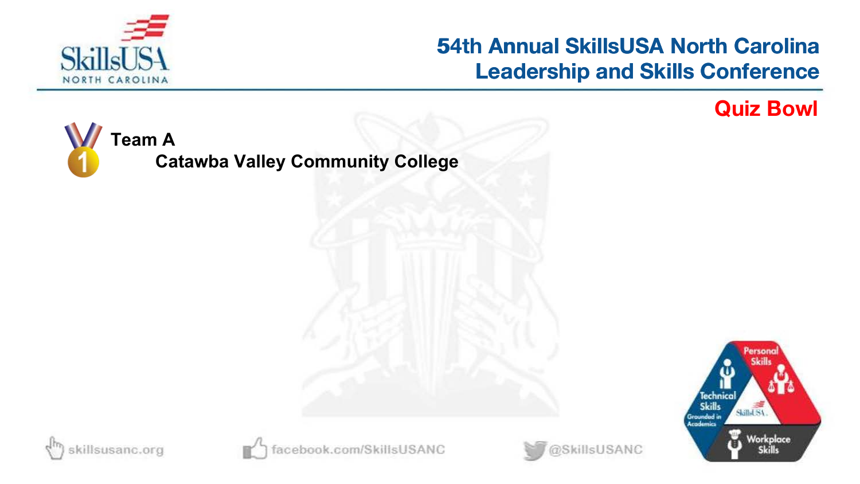

# **54th Annual SkillsUSA North Carolina Leadership and Skills Conference 54th Annual SkillsUSA North Carolina<br>Leadership and Skills Conference<br>Quiz Bowl**

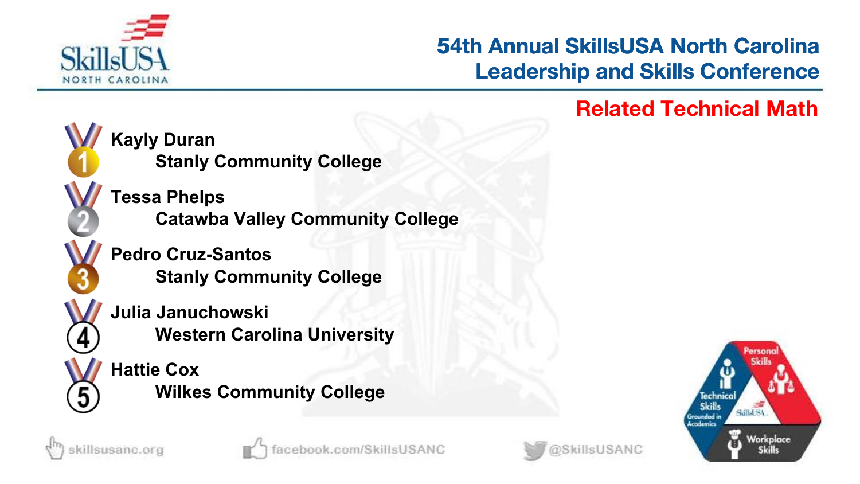

# **53rd Annual SkillsUSA North Carolina Leadership and Skills Conference 54th Annual SkillsUSA North Carolina<br>Leadership and Skills Conference<br>Related Technical Math**



illsusanc.org

**Kayly Duran Stanly Community College**

**Tessa Phelps Catawba Valley Community College**

**Pedro Cruz-Santos Stanly Community College**

**Julia Januchowski Western Carolina University**

**Hattie Cox Wilkes Community College**

ok.com/SkillsUSANC



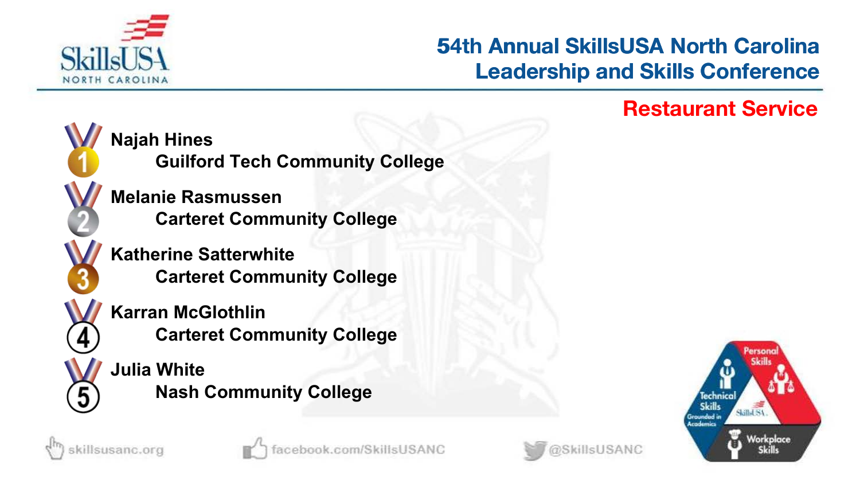

# **53rd Annual SkillsUSA North Carolina Leadership and Skills Conference 54th Annual SkillsUSA North Carolina<br>Leadership and Skills Conference<br>Restaurant Service**



**Najah Hines Guilford Tech Community College**

**Melanie Rasmussen Carteret Community College**

**Katherine Satterwhite Carteret Community College**

**Karran McGlothlin Carteret Community College**

**Julia White Nash Community College**





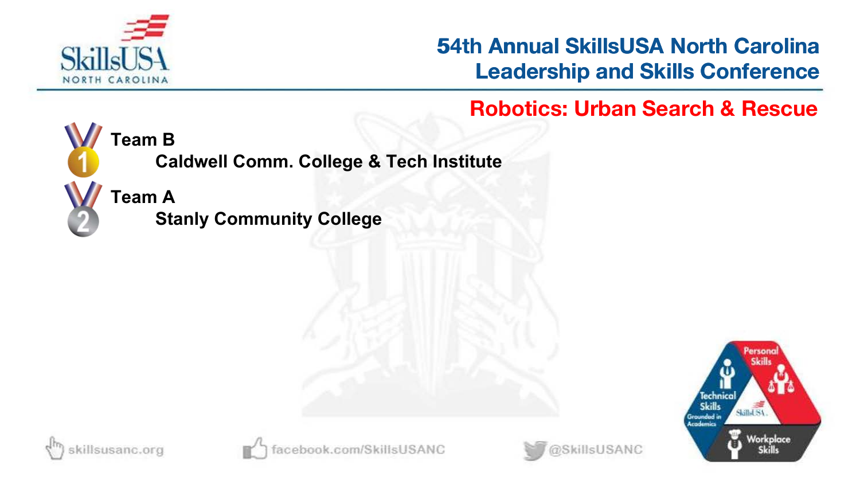

## **53rd Annual SkillsUSA North Carolina Leadership and Skills Conference 54th Annual SkillsUSA North Carolina<br>
Leadership and Skills Conference<br>
Robotics: Urban Search & Rescue**



**Team B**

**Caldwell Comm. College & Tech Institute**

**Team A**

**Stanly Community College**





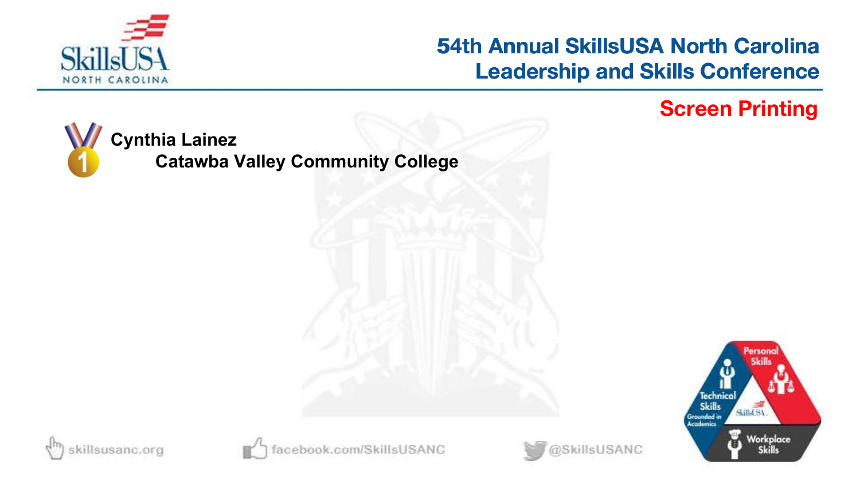

# **54th Annual SkillsUSA North Carolina Leadership and Skills Conference 54th Annual SkillsUSA North Carolina<br>Leadership and Skills Conference<br>Screen Printing**









book.com/SkillsUSANC

@SkillsUSANC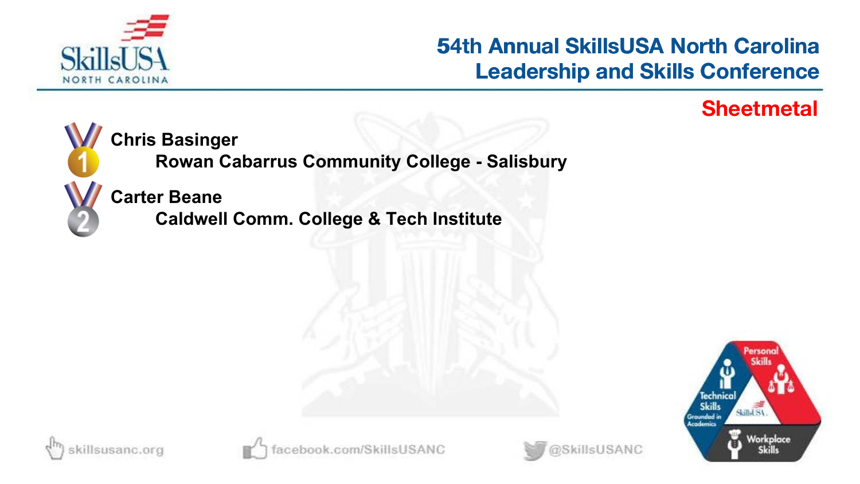

# **53rd Annual SkillsUSA North Carolina Leadership and Skills Conference 54th Annual SkillsUSA North Carolina<br>Leadership and Skills Conference<br>Sheetmetal**



**Chris Basinger**

**Rowan Cabarrus Community College - Salisbury**

**Carter Beane**

**Caldwell Comm. College & Tech Institute**





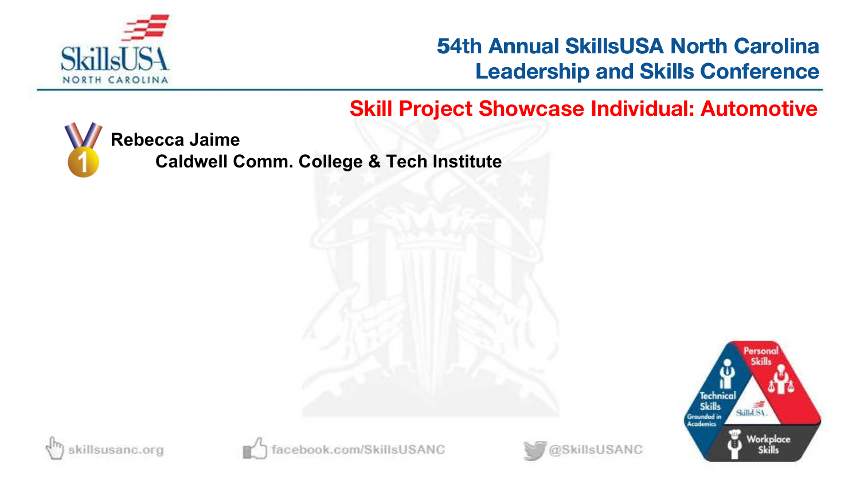

### **Skill Project Showcase Individual: Automotive**



**Rebecca Jaime**

**Caldwell Comm. College & Tech Institute**









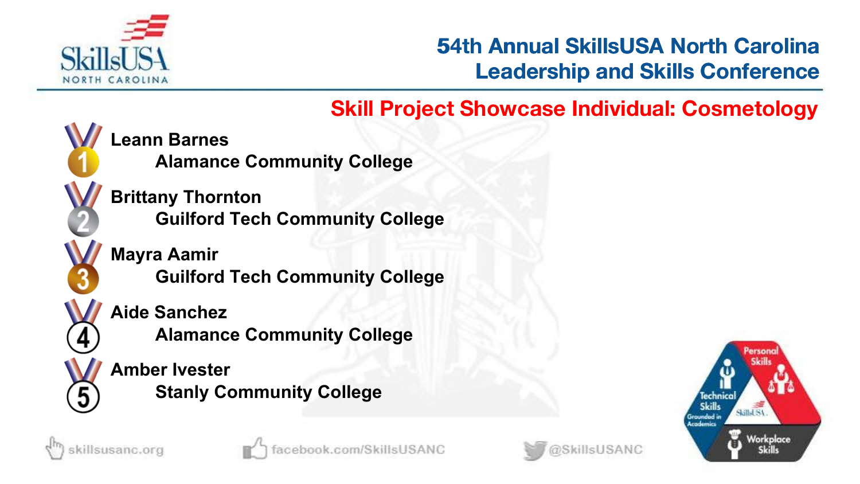

## **Skill Project Showcase Individual: Cosmetology**



sillsusanc.org

**Leann Barnes**

**Alamance Community College**

**Brittany Thornton Guilford Tech Community College**

**Mayra Aamir Guilford Tech Community College**

**Aide Sanchez**

**Alamance Community College**

**Amber Ivester Stanly Community College**

ok.com/SkillsUSANC



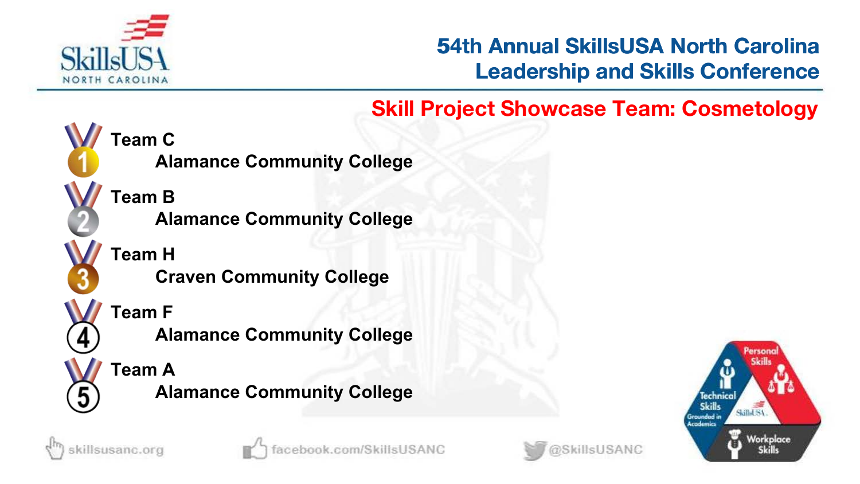

## **Skill Project Showcase Team: Cosmetology**



**Team B Alamance Community College**

**Alamance Community College**

**Team H Craven Community College**

**Team F**

**Alamance Community College**

**Team A Alamance Community College**

killsusanc.org





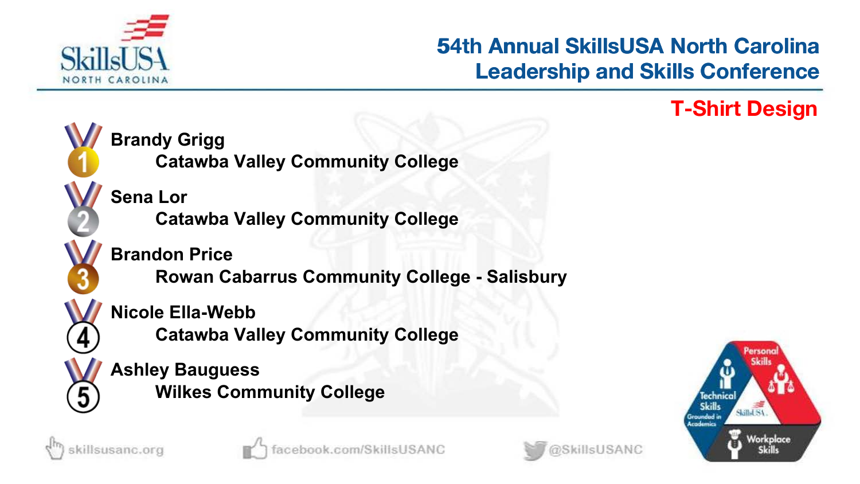

# **53rd Annual SkillsUSA North Carolina Leadership and Skills Conference 54th Annual SkillsUSA North Carolina<br>Leadership and Skills Conference<br>T-Shirt Design**





killsusanc.org



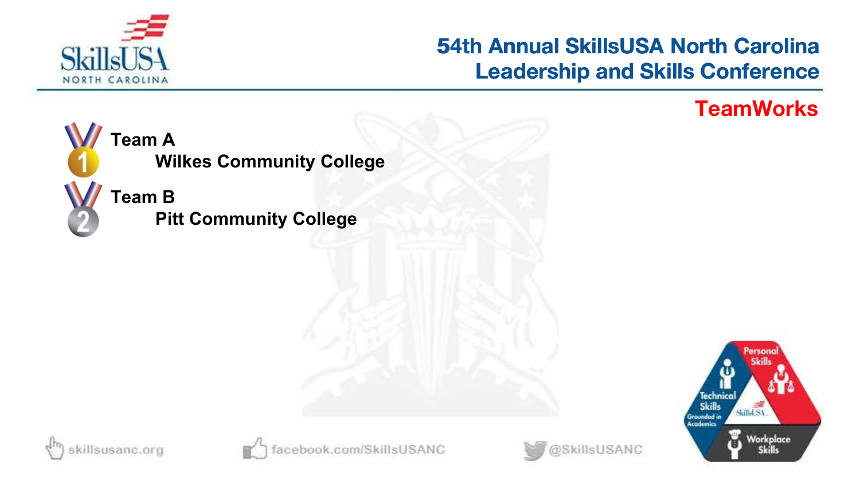

# **54th Annual SkillsUSA North Carolina Leadership and Skills Conference 54th Annual SkillsUSA North Carolina<br>Leadership and Skills Conference<br>TeamWorks**









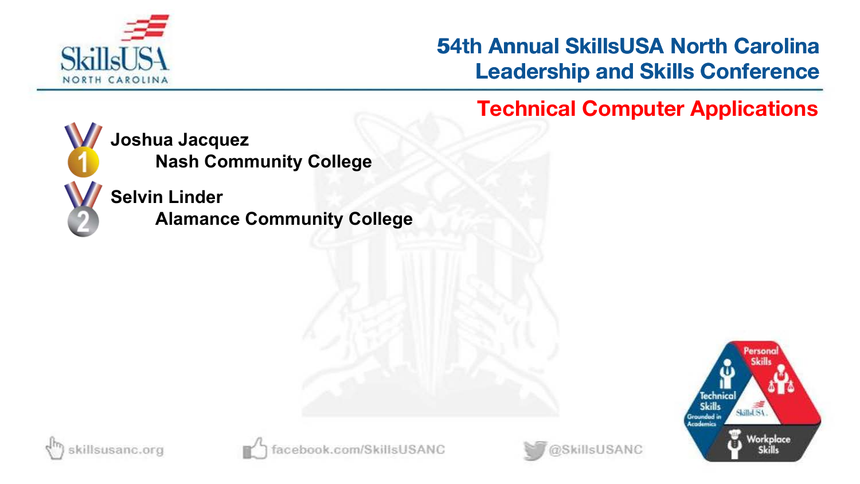

# **53rd Annual SkillsUSA North Carolina Leadership and Skills Conference 54th Annual SkillsUSA North Carolina<br>
Leadership and Skills Conference<br>
Technical Computer Applications**



**Joshua Jacquez Nash Community College**

**Selvin Linder Alamance Community College**







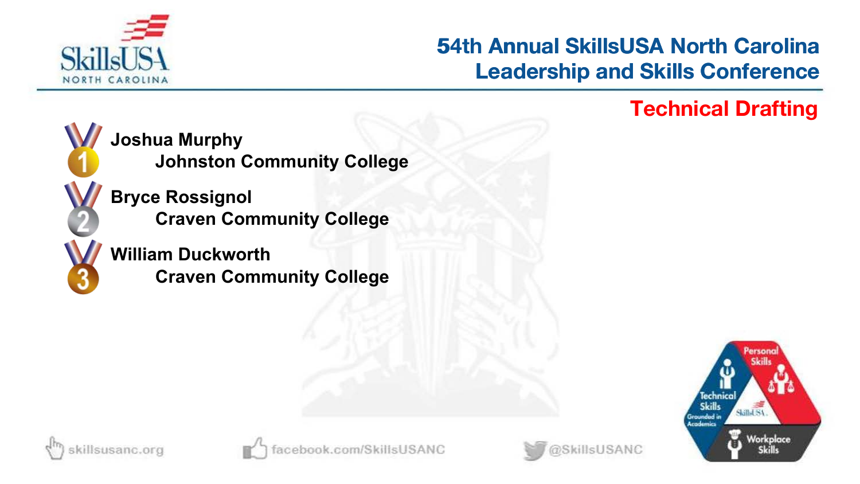

# **53rd Annual SkillsUSA North Carolina Leadership and Skills Conference 54th Annual SkillsUSA North Carolina<br>Leadership and Skills Conference<br>Technical Drafting**



**Joshua Murphy Johnston Community College**

**Bryce Rossignol Craven Community College**

**William Duckworth Craven Community College**







@SkillsUSANC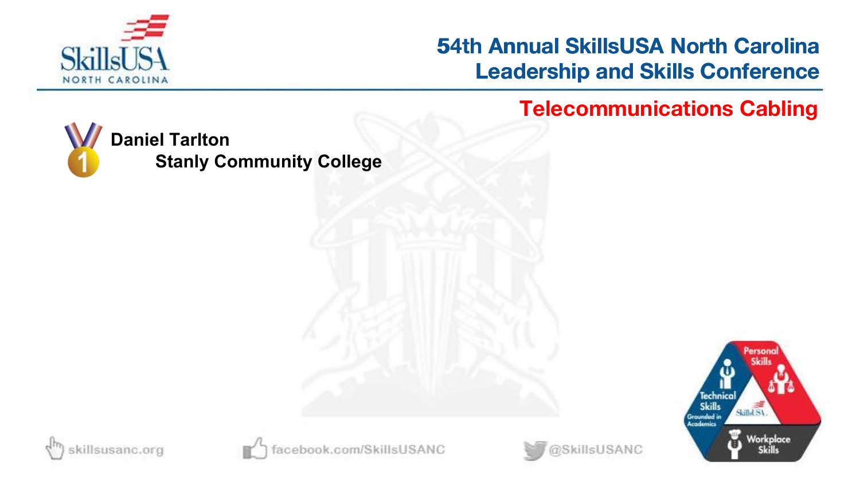

## **54th Annual SkillsUSA North Carolina Leadership and Skills Conference 54th Annual SkillsUSA North Carolina<br>Leadership and Skills Conference<br>Telecommunications Cabling**









book.com/SkillsUSANC

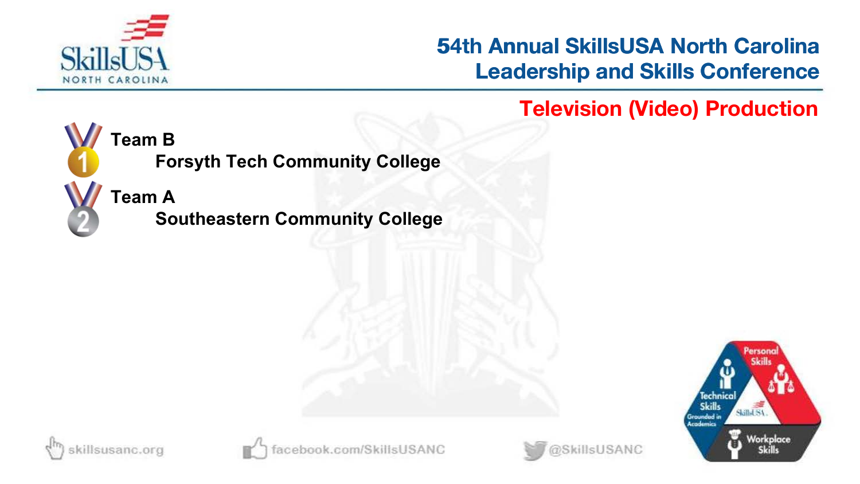

**53rd Annual SkillsUSA North Carolina Leadership and Skills Conference 54th Annual SkillsUSA North Carolina<br>Leadership and Skills Conference<br>Television (Video) Production** 



**Team B**

**Forsyth Tech Community College**

**Team A**

**Southeastern Community College**







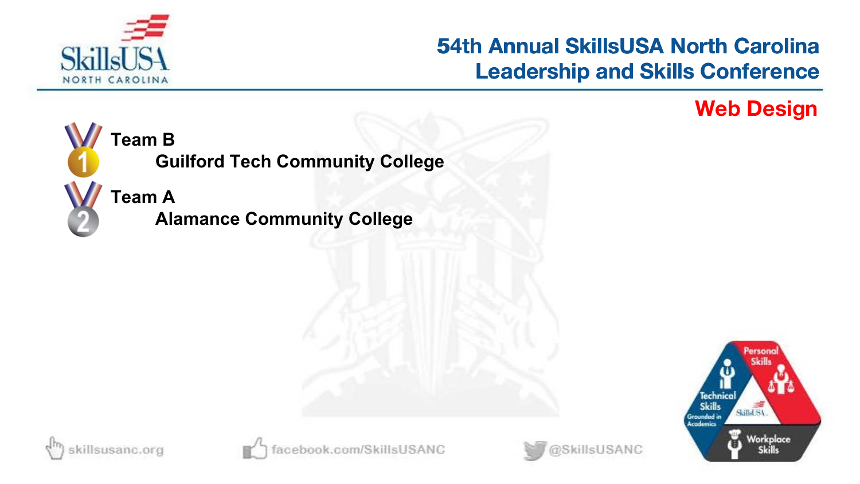

# **54th Annual SkillsUSA North Carolina Leadership and Skills Conference 54th Annual SkillsUSA North Carolina<br>Leadership and Skills Conference<br>Web Design**



# **Guilford Tech Community College**

**Team A Alamance Community College**







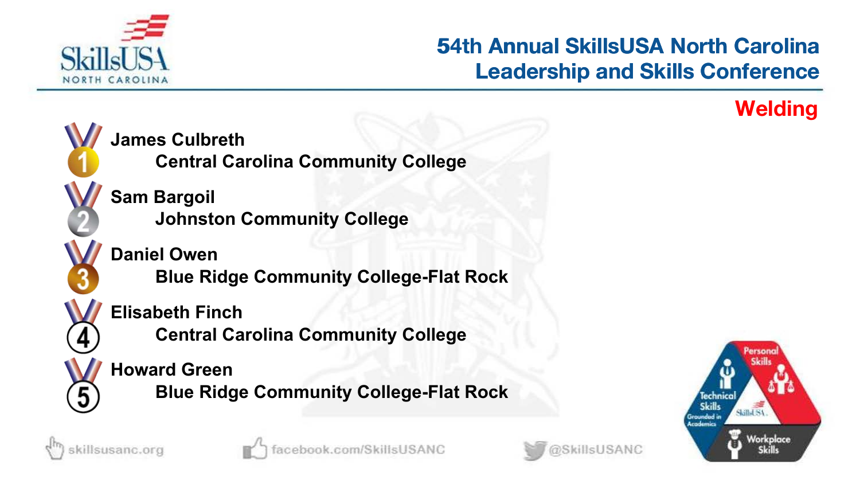

# **53rd Annual SkillsUSA North Carolina Leadership and Skills Conference 54th Annual SkillsUSA North Carolina<br>Leadership and Skills Conference<br>Welding**





killsusanc.org



ok.com/SkillsUSANC

@SkillsUSANC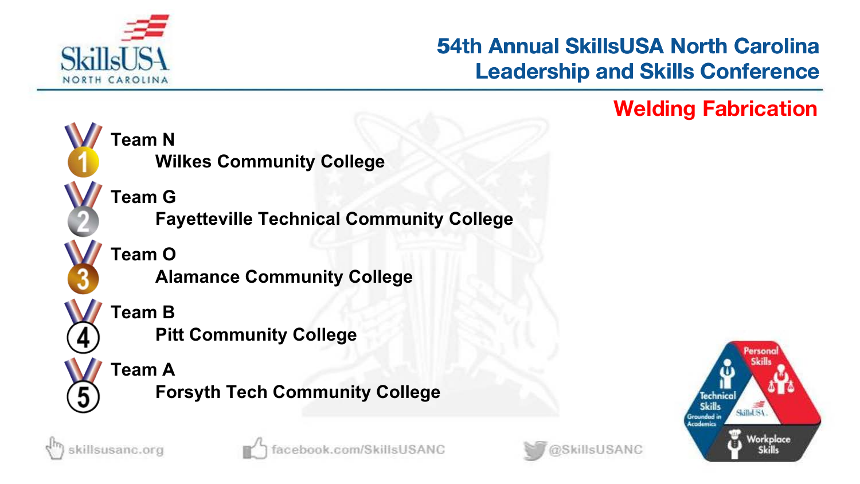

# **53rd Annual SkillsUSA North Carolina Leadership and Skills Conference 54th Annual SkillsUSA North Carolina<br>Leadership and Skills Conference<br>Welding Fabrication**





killsusanc.org